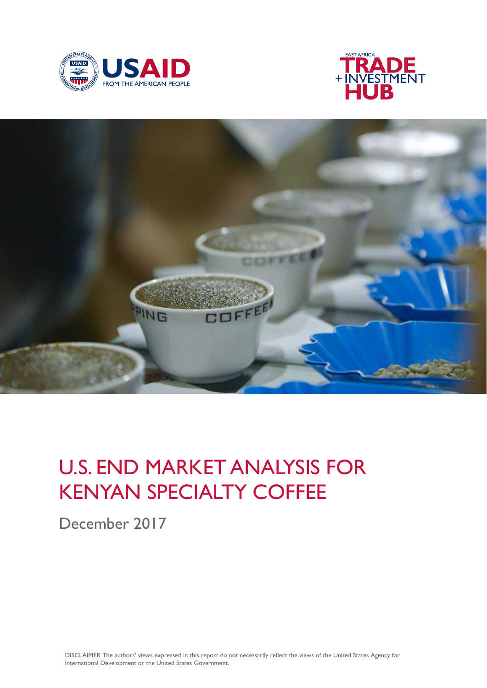





# U.S. END MARKET ANALYSIS FOR KENYAN SPECIALTY COFFEE

December 2017

DISCLAIMER The authors' views expressed in this report do not necessarily reflect the views of the United States Agency for International Development or the United States Government.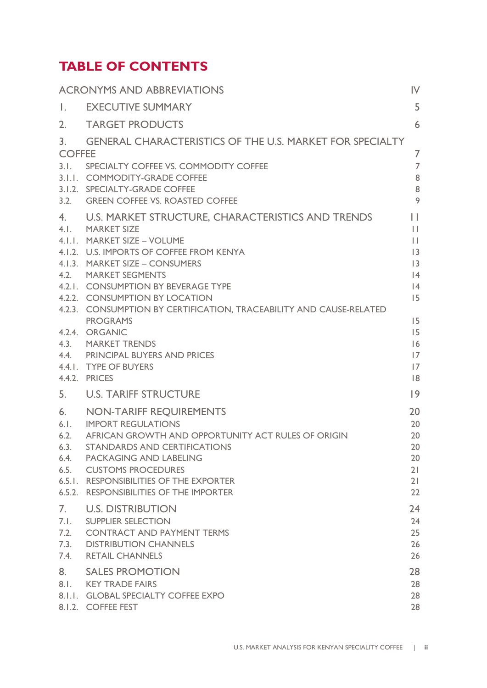### **TABLE OF CONTENTS**

|                                                      | <b>ACRONYMS AND ABBREVIATIONS</b>                                                                                                                                                                                                                                                                                                                                                                                                                                                                     | $\mathsf{IV}$                                                                                                   |
|------------------------------------------------------|-------------------------------------------------------------------------------------------------------------------------------------------------------------------------------------------------------------------------------------------------------------------------------------------------------------------------------------------------------------------------------------------------------------------------------------------------------------------------------------------------------|-----------------------------------------------------------------------------------------------------------------|
| $\mathbf{L}$                                         | <b>EXECUTIVE SUMMARY</b>                                                                                                                                                                                                                                                                                                                                                                                                                                                                              | 5                                                                                                               |
| 2.                                                   | <b>TARGET PRODUCTS</b>                                                                                                                                                                                                                                                                                                                                                                                                                                                                                | 6                                                                                                               |
| 3.<br><b>COFFEE</b>                                  | <b>GENERAL CHARACTERISTICS OF THE U.S. MARKET FOR SPECIALTY</b><br>3.1. SPECIALTY COFFEE VS. COMMODITY COFFEE<br>3.1.1. COMMODITY-GRADE COFFEE<br>3.1.2. SPECIALTY-GRADE COFFEE<br>3.2. GREEN COFFEE VS. ROASTED COFFEE                                                                                                                                                                                                                                                                               | 7<br>$\overline{7}$<br>8<br>8<br>9                                                                              |
| 4.                                                   | U.S. MARKET STRUCTURE, CHARACTERISTICS AND TRENDS<br>4.1. MARKET SIZE<br>4. I. I. MARKET SIZE - VOLUME<br>4.1.2. U.S. IMPORTS OF COFFEE FROM KENYA<br>4.1.3. MARKET SIZE - CONSUMERS<br>4.2. MARKET SEGMENTS<br>4.2.1. CONSUMPTION BY BEVERAGE TYPE<br>4.2.2. CONSUMPTION BY LOCATION<br>4.2.3. CONSUMPTION BY CERTIFICATION, TRACEABILITY AND CAUSE-RELATED<br><b>PROGRAMS</b><br>4.2.4. ORGANIC<br>4.3. MARKET TRENDS<br>4.4. PRINCIPAL BUYERS AND PRICES<br>4.4.1. TYPE OF BUYERS<br>4.4.2. PRICES | $\mathbf{L}$<br>$\mathbf{L}$<br>$\mathbf{  }$<br> 3<br> 3<br> 4<br> 4<br>15<br>15<br>15<br>16<br>17<br> 7<br> 8 |
| 5.                                                   | <b>U.S. TARIFF STRUCTURE</b>                                                                                                                                                                                                                                                                                                                                                                                                                                                                          | 9                                                                                                               |
| 6.<br>6.1.<br>6.2.<br>6.3.<br>6.4.<br>6.5.<br>6.5.2. | <b>NON-TARIFF REQUIREMENTS</b><br><b>IMPORT REGULATIONS</b><br>AFRICAN GROWTH AND OPPORTUNITY ACT RULES OF ORIGIN<br>STANDARDS AND CERTIFICATIONS<br>PACKAGING AND LABELING<br><b>CUSTOMS PROCEDURES</b><br>6.5.1. RESPONSIBILITIES OF THE EXPORTER<br><b>RESPONSIBILITIES OF THE IMPORTER</b>                                                                                                                                                                                                        | 20<br>20<br>20<br>20<br>20<br>21<br>21<br>22                                                                    |
| 7.<br>7.1.<br>7.2.<br>7.3.<br>7.4.                   | <b>U.S. DISTRIBUTION</b><br><b>SUPPLIER SELECTION</b><br><b>CONTRACT AND PAYMENT TERMS</b><br><b>DISTRIBUTION CHANNELS</b><br><b>RETAIL CHANNELS</b>                                                                                                                                                                                                                                                                                                                                                  | 24<br>24<br>25<br>26<br>26                                                                                      |
| 8.<br>8.1.                                           | <b>SALES PROMOTION</b><br><b>KEY TRADE FAIRS</b><br>8.I.I. GLOBAL SPECIALTY COFFEE EXPO<br>8.1.2. COFFEE FEST                                                                                                                                                                                                                                                                                                                                                                                         | 28<br>28<br>28<br>28                                                                                            |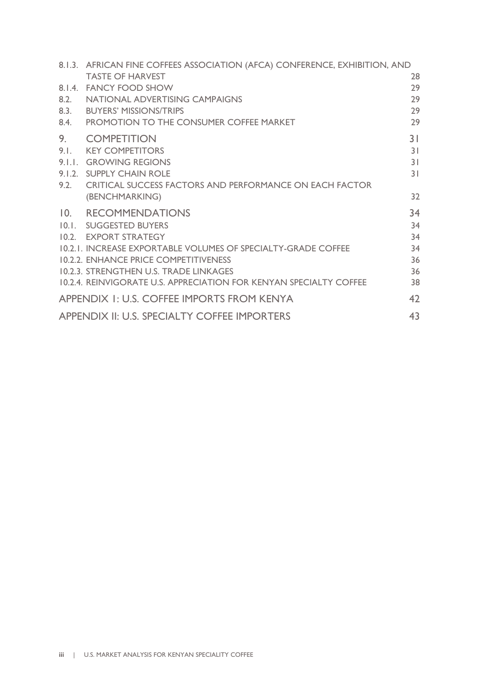|      | 8.1.3. AFRICAN FINE COFFEES ASSOCIATION (AFCA) CONFERENCE, EXHIBITION, AND |                |
|------|----------------------------------------------------------------------------|----------------|
|      | <b>TASTE OF HARVEST</b>                                                    | 28             |
|      | 8.1.4. FANCY FOOD SHOW                                                     | 29             |
| 8.2. | NATIONAL ADVERTISING CAMPAIGNS                                             | 29             |
| 8.3. | <b>BUYERS' MISSIONS/TRIPS</b>                                              | 29             |
| 8.4. | PROMOTION TO THE CONSUMER COFFEE MARKET                                    | 29             |
| 9.   | <b>COMPETITION</b>                                                         | 3 <sup>1</sup> |
| 9.1. | <b>KEY COMPETITORS</b>                                                     | 3 <sup>1</sup> |
|      | 9.I.I. GROWING REGIONS                                                     | 31             |
|      | 9.1.2. SUPPLY CHAIN ROLE                                                   | 31             |
|      | 9.2. CRITICAL SUCCESS FACTORS AND PERFORMANCE ON EACH FACTOR               |                |
|      | (BENCHMARKING)                                                             | 32             |
|      | 10. RECOMMENDATIONS                                                        | 34             |
|      | 10.1. SUGGESTED BUYERS                                                     | 34             |
|      | 10.2. EXPORT STRATEGY                                                      | 34             |
|      | 10.2.1. INCREASE EXPORTABLE VOLUMES OF SPECIALTY-GRADE COFFEE              | 34             |
|      | <b>10.2.2. ENHANCE PRICE COMPETITIVENESS</b>                               | 36             |
|      | 10.2.3. STRENGTHEN U.S. TRADE LINKAGES                                     | 36             |
|      | 10.2.4. REINVIGORATE U.S. APPRECIATION FOR KENYAN SPECIALTY COFFEE         | 38             |
|      | APPENDIX 1: U.S. COFFEE IMPORTS FROM KENYA                                 | 42             |
|      | APPENDIX II: U.S. SPECIALTY COFFEE IMPORTERS                               | 43             |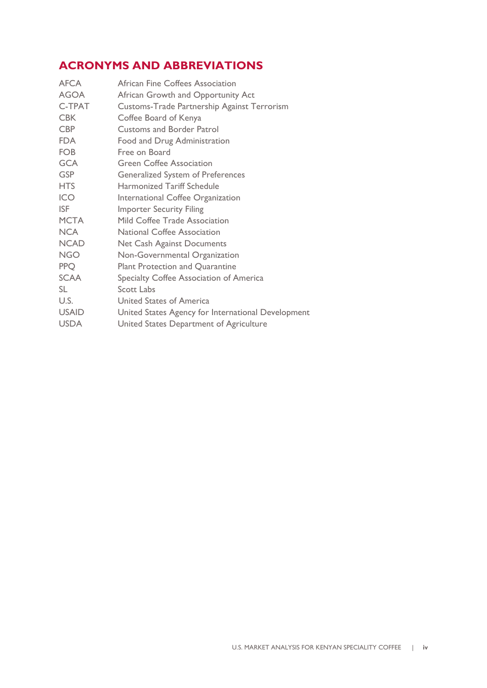### <span id="page-3-0"></span>**ACRONYMS AND ABBREVIATIONS**

| <b>African Fine Coffees Association</b>            |
|----------------------------------------------------|
| African Growth and Opportunity Act                 |
| Customs-Trade Partnership Against Terrorism        |
| Coffee Board of Kenya                              |
| <b>Customs and Border Patrol</b>                   |
| Food and Drug Administration                       |
| Free on Board                                      |
| <b>Green Coffee Association</b>                    |
| <b>Generalized System of Preferences</b>           |
| <b>Harmonized Tariff Schedule</b>                  |
| International Coffee Organization                  |
| <b>Importer Security Filing</b>                    |
| Mild Coffee Trade Association                      |
| <b>National Coffee Association</b>                 |
| Net Cash Against Documents                         |
| Non-Governmental Organization                      |
| <b>Plant Protection and Quarantine</b>             |
| Specialty Coffee Association of America            |
| Scott Labs                                         |
| United States of America                           |
| United States Agency for International Development |
| United States Department of Agriculture            |
|                                                    |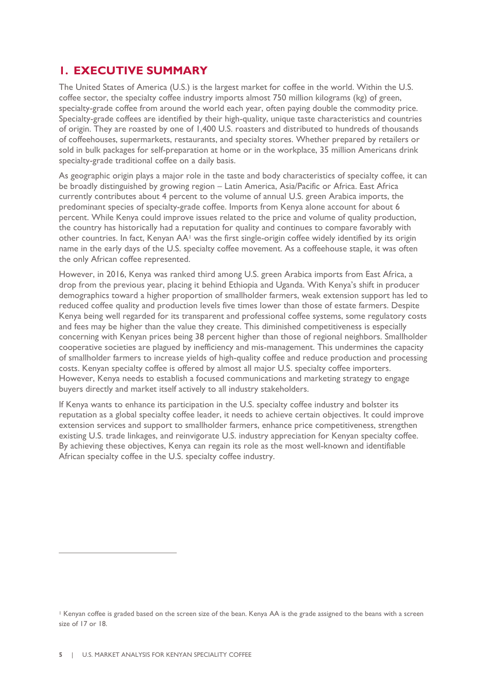### <span id="page-4-0"></span>**1. EXECUTIVE SUMMARY**

The United States of America (U.S.) is the largest market for coffee in the world. Within the U.S. coffee sector, the specialty coffee industry imports almost 750 million kilograms (kg) of green, specialty-grade coffee from around the world each year, often paying double the commodity price. Specialty-grade coffees are identified by their high-quality, unique taste characteristics and countries of origin. They are roasted by one of 1,400 U.S. roasters and distributed to hundreds of thousands of coffeehouses, supermarkets, restaurants, and specialty stores. Whether prepared by retailers or sold in bulk packages for self-preparation at home or in the workplace, 35 million Americans drink specialty-grade traditional coffee on a daily basis.

As geographic origin plays a major role in the taste and body characteristics of specialty coffee, it can be broadly distinguished by growing region – Latin America, Asia/Pacific or Africa. East Africa currently contributes about 4 percent to the volume of annual U.S. green Arabica imports, the predominant species of specialty-grade coffee. Imports from Kenya alone account for about 6 percent. While Kenya could improve issues related to the price and volume of quality production, the country has historically had a reputation for quality and continues to compare favorably with other countries. In fact, Kenyan AA<sup>1</sup> was the first single-origin coffee widely identified by its origin name in the early days of the U.S. specialty coffee movement. As a coffeehouse staple, it was often the only African coffee represented.

However, in 2016, Kenya was ranked third among U.S. green Arabica imports from East Africa, a drop from the previous year, placing it behind Ethiopia and Uganda. With Kenya's shift in producer demographics toward a higher proportion of smallholder farmers, weak extension support has led to reduced coffee quality and production levels five times lower than those of estate farmers. Despite Kenya being well regarded for its transparent and professional coffee systems, some regulatory costs and fees may be higher than the value they create. This diminished competitiveness is especially concerning with Kenyan prices being 38 percent higher than those of regional neighbors. Smallholder cooperative societies are plagued by inefficiency and mis-management. This undermines the capacity of smallholder farmers to increase yields of high-quality coffee and reduce production and processing costs. Kenyan specialty coffee is offered by almost all major U.S. specialty coffee importers. However, Kenya needs to establish a focused communications and marketing strategy to engage buyers directly and market itself actively to all industry stakeholders.

If Kenya wants to enhance its participation in the U.S. specialty coffee industry and bolster its reputation as a global specialty coffee leader, it needs to achieve certain objectives. It could improve extension services and support to smallholder farmers, enhance price competitiveness, strengthen existing U.S. trade linkages, and reinvigorate U.S. industry appreciation for Kenyan specialty coffee. By achieving these objectives, Kenya can regain its role as the most well-known and identifiable African specialty coffee in the U.S. specialty coffee industry.

<sup>1</sup> Kenyan coffee is graded based on the screen size of the bean. Kenya AA is the grade assigned to the beans with a screen size of 17 or 18.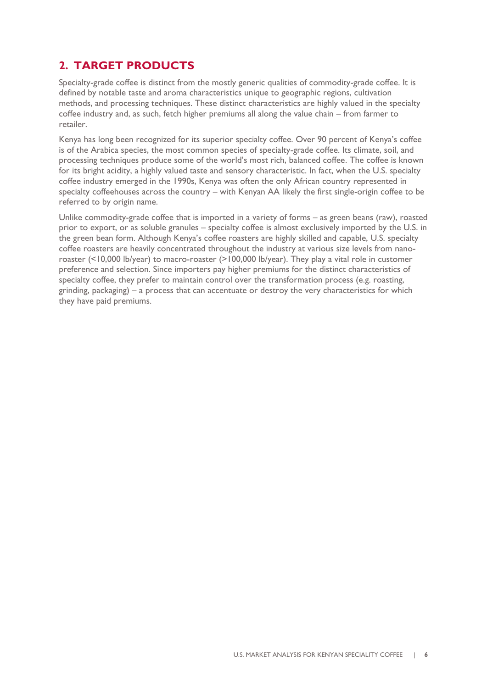### <span id="page-5-0"></span>**2. TARGET PRODUCTS**

Specialty-grade coffee is distinct from the mostly generic qualities of commodity-grade coffee. It is defined by notable taste and aroma characteristics unique to geographic regions, cultivation methods, and processing techniques. These distinct characteristics are highly valued in the specialty coffee industry and, as such, fetch higher premiums all along the value chain – from farmer to retailer.

Kenya has long been recognized for its superior specialty coffee. Over 90 percent of Kenya's coffee is of the Arabica species, the most common species of specialty-grade coffee. Its climate, soil, and processing techniques produce some of the world's most rich, balanced coffee. The coffee is known for its bright acidity, a highly valued taste and sensory characteristic. In fact, when the U.S. specialty coffee industry emerged in the 1990s, Kenya was often the only African country represented in specialty coffeehouses across the country – with Kenyan AA likely the first single-origin coffee to be referred to by origin name.

Unlike commodity-grade coffee that is imported in a variety of forms – as green beans (raw), roasted prior to export, or as soluble granules – specialty coffee is almost exclusively imported by the U.S. in the green bean form. Although Kenya's coffee roasters are highly skilled and capable, U.S. specialty coffee roasters are heavily concentrated throughout the industry at various size levels from nanoroaster (<10,000 lb/year) to macro-roaster (>100,000 lb/year). They play a vital role in customer preference and selection. Since importers pay higher premiums for the distinct characteristics of specialty coffee, they prefer to maintain control over the transformation process (e.g. roasting, grinding, packaging) – a process that can accentuate or destroy the very characteristics for which they have paid premiums.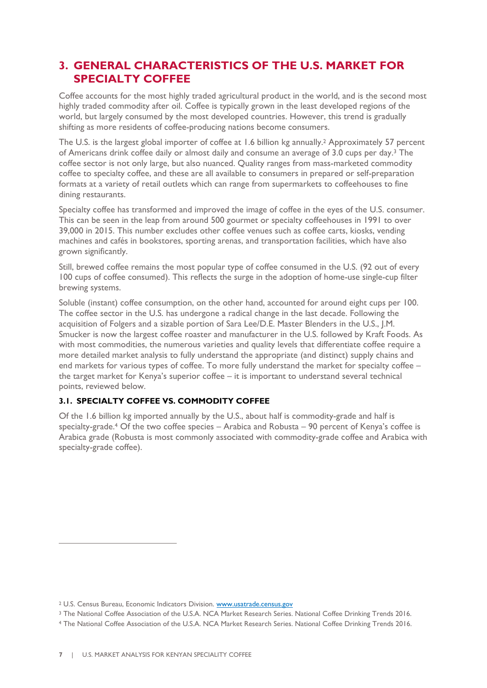### <span id="page-6-0"></span>**3. GENERAL CHARACTERISTICS OF THE U.S. MARKET FOR SPECIALTY COFFEE**

Coffee accounts for the most highly traded agricultural product in the world, and is the second most highly traded commodity after oil. Coffee is typically grown in the least developed regions of the world, but largely consumed by the most developed countries. However, this trend is gradually shifting as more residents of coffee-producing nations become consumers.

The U.S. is the largest global importer of coffee at 1.6 billion kg annually.<sup>2</sup> Approximately 57 percent of Americans drink coffee daily or almost daily and consume an average of 3.0 cups per day.<sup>3</sup> The coffee sector is not only large, but also nuanced. Quality ranges from mass-marketed commodity coffee to specialty coffee, and these are all available to consumers in prepared or self-preparation formats at a variety of retail outlets which can range from supermarkets to coffeehouses to fine dining restaurants.

Specialty coffee has transformed and improved the image of coffee in the eyes of the U.S. consumer. This can be seen in the leap from around 500 gourmet or specialty coffeehouses in 1991 to over 39,000 in 2015. This number excludes other coffee venues such as coffee carts, kiosks, vending machines and cafés in bookstores, sporting arenas, and transportation facilities, which have also grown significantly.

Still, brewed coffee remains the most popular type of coffee consumed in the U.S. (92 out of every 100 cups of coffee consumed). This reflects the surge in the adoption of home-use single-cup filter brewing systems.

Soluble (instant) coffee consumption, on the other hand, accounted for around eight cups per 100. The coffee sector in the U.S. has undergone a radical change in the last decade. Following the acquisition of Folgers and a sizable portion of Sara Lee/D.E. Master Blenders in the U.S., J.M. Smucker is now the largest coffee roaster and manufacturer in the U.S. followed by Kraft Foods. As with most commodities, the numerous varieties and quality levels that differentiate coffee require a more detailed market analysis to fully understand the appropriate (and distinct) supply chains and end markets for various types of coffee. To more fully understand the market for specialty coffee – the target market for Kenya's superior coffee – it is important to understand several technical points, reviewed below.

### <span id="page-6-1"></span>**3.1. SPECIALTY COFFEE VS. COMMODITY COFFEE**

Of the 1.6 billion kg imported annually by the U.S., about half is commodity-grade and half is specialty-grade.<sup>4</sup> Of the two coffee species – Arabica and Robusta – 90 percent of Kenya's coffee is Arabica grade (Robusta is most commonly associated with commodity-grade coffee and Arabica with specialty-grade coffee).

<sup>2</sup> U.S. Census Bureau, Economic Indicators Division[. www.usatrade.census.gov](http://www.usatrade.census.gov/)

<sup>3</sup> The National Coffee Association of the U.S.A. NCA Market Research Series. National Coffee Drinking Trends 2016.

<sup>4</sup> The National Coffee Association of the U.S.A. NCA Market Research Series. National Coffee Drinking Trends 2016.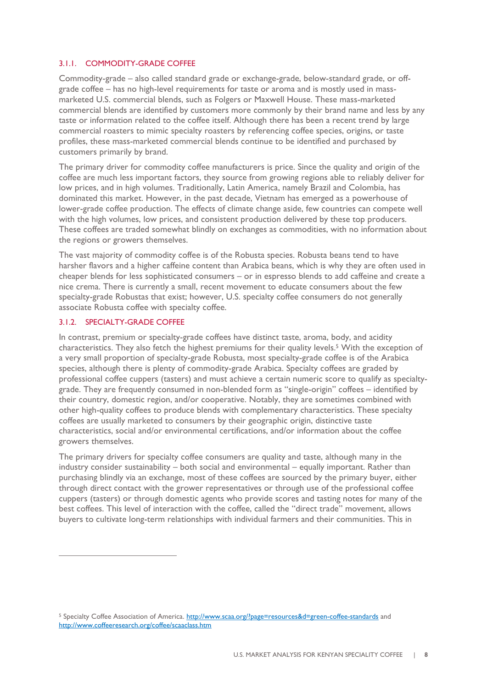### <span id="page-7-0"></span>3.1.1. COMMODITY-GRADE COFFEE

Commodity-grade – also called standard grade or exchange-grade, below-standard grade, or offgrade coffee – has no high-level requirements for taste or aroma and is mostly used in massmarketed U.S. commercial blends, such as Folgers or Maxwell House. These mass-marketed commercial blends are identified by customers more commonly by their brand name and less by any taste or information related to the coffee itself. Although there has been a recent trend by large commercial roasters to mimic specialty roasters by referencing coffee species, origins, or taste profiles, these mass-marketed commercial blends continue to be identified and purchased by customers primarily by brand.

The primary driver for commodity coffee manufacturers is price. Since the quality and origin of the coffee are much less important factors, they source from growing regions able to reliably deliver for low prices, and in high volumes. Traditionally, Latin America, namely Brazil and Colombia, has dominated this market. However, in the past decade, Vietnam has emerged as a powerhouse of lower-grade coffee production. The effects of climate change aside, few countries can compete well with the high volumes, low prices, and consistent production delivered by these top producers. These coffees are traded somewhat blindly on exchanges as commodities, with no information about the regions or growers themselves.

The vast majority of commodity coffee is of the Robusta species. Robusta beans tend to have harsher flavors and a higher caffeine content than Arabica beans, which is why they are often used in cheaper blends for less sophisticated consumers – or in espresso blends to add caffeine and create a nice crema. There is currently a small, recent movement to educate consumers about the few specialty-grade Robustas that exist; however, U.S. specialty coffee consumers do not generally associate Robusta coffee with specialty coffee.

### <span id="page-7-1"></span>3.1.2. SPECIALTY-GRADE COFFEE

 $\overline{a}$ 

In contrast, premium or specialty-grade coffees have distinct taste, aroma, body, and acidity characteristics. They also fetch the highest premiums for their quality levels.<sup>5</sup> With the exception of a very small proportion of specialty-grade Robusta, most specialty-grade coffee is of the Arabica species, although there is plenty of commodity-grade Arabica. Specialty coffees are graded by professional coffee cuppers (tasters) and must achieve a certain numeric score to qualify as specialtygrade. They are frequently consumed in non-blended form as "single-origin" coffees – identified by their country, domestic region, and/or cooperative. Notably, they are sometimes combined with other high-quality coffees to produce blends with complementary characteristics. These specialty coffees are usually marketed to consumers by their geographic origin, distinctive taste characteristics, social and/or environmental certifications, and/or information about the coffee growers themselves.

The primary drivers for specialty coffee consumers are quality and taste, although many in the industry consider sustainability – both social and environmental – equally important. Rather than purchasing blindly via an exchange, most of these coffees are sourced by the primary buyer, either through direct contact with the grower representatives or through use of the professional coffee cuppers (tasters) or through domestic agents who provide scores and tasting notes for many of the best coffees. This level of interaction with the coffee, called the "direct trade" movement, allows buyers to cultivate long-term relationships with individual farmers and their communities. This in

<sup>&</sup>lt;sup>5</sup> Specialty Coffee Association of America.<http://www.scaa.org/?page=resources&d=green-coffee-standards> and <http://www.coffeeresearch.org/coffee/scaaclass.htm>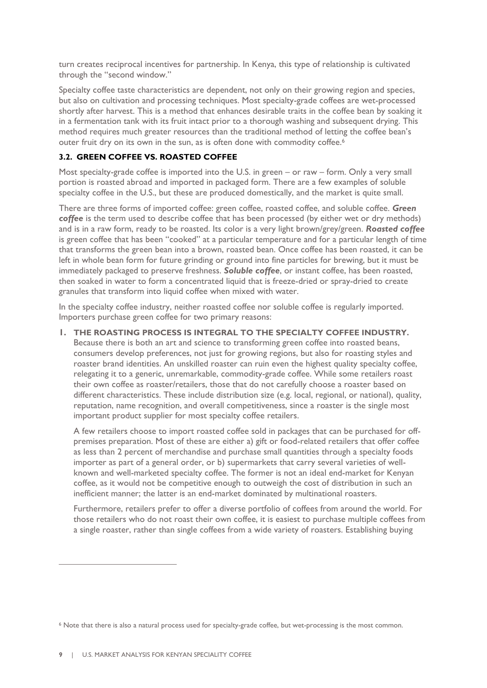turn creates reciprocal incentives for partnership. In Kenya, this type of relationship is cultivated through the "second window."

Specialty coffee taste characteristics are dependent, not only on their growing region and species, but also on cultivation and processing techniques. Most specialty-grade coffees are wet-processed shortly after harvest. This is a method that enhances desirable traits in the coffee bean by soaking it in a fermentation tank with its fruit intact prior to a thorough washing and subsequent drying. This method requires much greater resources than the traditional method of letting the coffee bean's outer fruit dry on its own in the sun, as is often done with commodity coffee. 6

### <span id="page-8-0"></span>**3.2. GREEN COFFEE VS. ROASTED COFFEE**

Most specialty-grade coffee is imported into the U.S. in green – or raw – form. Only a very small portion is roasted abroad and imported in packaged form. There are a few examples of soluble specialty coffee in the U.S., but these are produced domestically, and the market is quite small.

There are three forms of imported coffee: green coffee, roasted coffee, and soluble coffee. *Green coffee* is the term used to describe coffee that has been processed (by either wet or dry methods) and is in a raw form, ready to be roasted. Its color is a very light brown/grey/green. *Roasted coffee* is green coffee that has been "cooked" at a particular temperature and for a particular length of time that transforms the green bean into a brown, roasted bean. Once coffee has been roasted, it can be left in whole bean form for future grinding or ground into fine particles for brewing, but it must be immediately packaged to preserve freshness. *Soluble coffee*, or instant coffee, has been roasted, then soaked in water to form a concentrated liquid that is freeze-dried or spray-dried to create granules that transform into liquid coffee when mixed with water.

In the specialty coffee industry, neither roasted coffee nor soluble coffee is regularly imported. Importers purchase green coffee for two primary reasons:

### **1. THE ROASTING PROCESS IS INTEGRAL TO THE SPECIALTY COFFEE INDUSTRY.**

Because there is both an art and science to transforming green coffee into roasted beans, consumers develop preferences, not just for growing regions, but also for roasting styles and roaster brand identities. An unskilled roaster can ruin even the highest quality specialty coffee, relegating it to a generic, unremarkable, commodity-grade coffee. While some retailers roast their own coffee as roaster/retailers, those that do not carefully choose a roaster based on different characteristics. These include distribution size (e.g. local, regional, or national), quality, reputation, name recognition, and overall competitiveness, since a roaster is the single most important product supplier for most specialty coffee retailers.

A few retailers choose to import roasted coffee sold in packages that can be purchased for offpremises preparation. Most of these are either a) gift or food-related retailers that offer coffee as less than 2 percent of merchandise and purchase small quantities through a specialty foods importer as part of a general order, or b) supermarkets that carry several varieties of wellknown and well-marketed specialty coffee. The former is not an ideal end-market for Kenyan coffee, as it would not be competitive enough to outweigh the cost of distribution in such an inefficient manner; the latter is an end-market dominated by multinational roasters.

Furthermore, retailers prefer to offer a diverse portfolio of coffees from around the world. For those retailers who do not roast their own coffee, it is easiest to purchase multiple coffees from a single roaster, rather than single coffees from a wide variety of roasters. Establishing buying

<sup>6</sup> Note that there is also a natural process used for specialty-grade coffee, but wet-processing is the most common.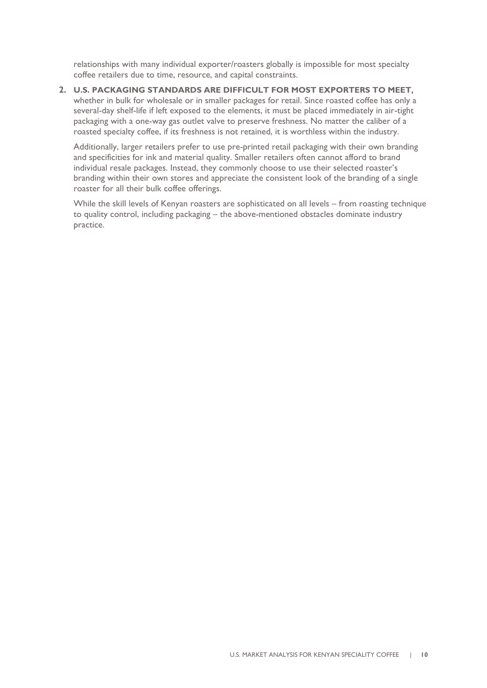relationships with many individual exporter/roasters globally is impossible for most specialty coffee retailers due to time, resource, and capital constraints.

**2. U.S. PACKAGING STANDARDS ARE DIFFICULT FOR MOST EXPORTERS TO MEET,** whether in bulk for wholesale or in smaller packages for retail. Since roasted coffee has only a several-day shelf-life if left exposed to the elements, it must be placed immediately in air-tight packaging with a one-way gas outlet valve to preserve freshness. No matter the caliber of a roasted specialty coffee, if its freshness is not retained, it is worthless within the industry.

Additionally, larger retailers prefer to use pre-printed retail packaging with their own branding and specificities for ink and material quality. Smaller retailers often cannot afford to brand individual resale packages. Instead, they commonly choose to use their selected roaster's branding within their own stores and appreciate the consistent look of the branding of a single roaster for all their bulk coffee offerings.

While the skill levels of Kenyan roasters are sophisticated on all levels – from roasting technique to quality control, including packaging – the above-mentioned obstacles dominate industry practice.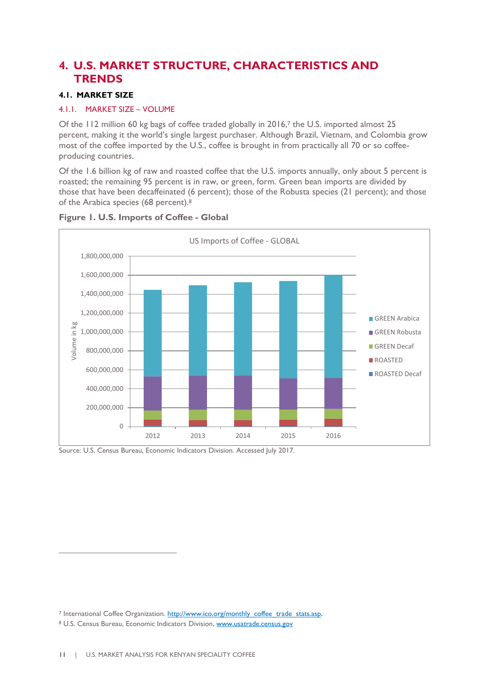### <span id="page-10-0"></span>**4. U.S. MARKET STRUCTURE, CHARACTERISTICS AND TRENDS**

### <span id="page-10-1"></span>**4.1. MARKET SIZE**

### <span id="page-10-2"></span>4.1.1. MARKET SIZE – VOLUME

Of the 112 million 60 kg bags of coffee traded globally in 2016,<sup>7</sup> the U.S. imported almost 25 percent, making it the world's single largest purchaser. Although Brazil, Vietnam, and Colombia grow most of the coffee imported by the U.S., coffee is brought in from practically all 70 or so coffeeproducing countries.

Of the 1.6 billion kg of raw and roasted coffee that the U.S. imports annually, only about 5 percent is roasted; the remaining 95 percent is in raw, or green, form. Green bean imports are divided by those that have been decaffeinated (6 percent); those of the Robusta species (21 percent); and those of the Arabica species (68 percent).<sup>8</sup>



### **Figure 1. U.S. Imports of Coffee - Global**

Source: U.S. Census Bureau, Economic Indicators Division. Accessed July 2017.

<sup>&</sup>lt;sup>7</sup> International Coffee Organization. http://www.ico.org/monthly\_coffee\_trade\_stats.asp. <sup>8</sup> U.S. Census Bureau, Economic Indicators Division[. www.usatrade.census.gov](http://www.usatrade.census.gov/)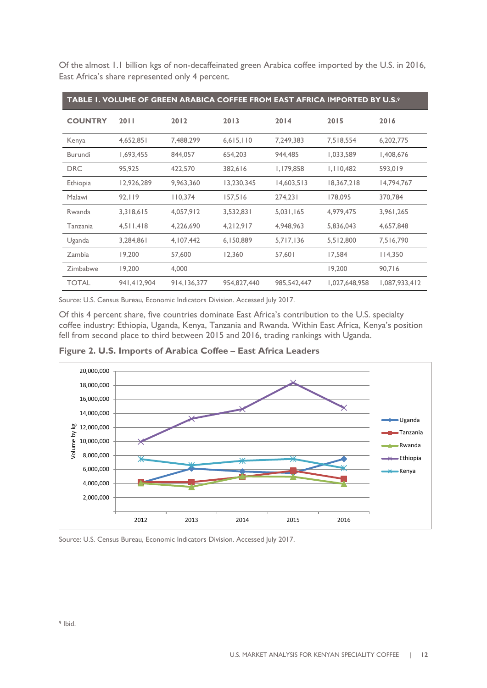| TABLE I. VOLUME OF GREEN ARABICA COFFEE FROM EAST AFRICA IMPORTED BY U.S. <sup>9</sup> |             |             |             |             |               |               |  |  |
|----------------------------------------------------------------------------------------|-------------|-------------|-------------|-------------|---------------|---------------|--|--|
| <b>COUNTRY</b>                                                                         | 2011        | 2012        | 2013        | 2014        | 2015          | 2016          |  |  |
| Kenya                                                                                  | 4,652,851   | 7,488,299   | 6,615,110   | 7,249,383   | 7,518,554     | 6,202,775     |  |  |
| Burundi                                                                                | 1,693,455   | 844,057     | 654,203     | 944,485     | 1,033,589     | 1,408,676     |  |  |
| <b>DRC</b>                                                                             | 95,925      | 422,570     | 382,616     | 1,179,858   | 1,110,482     | 593,019       |  |  |
| Ethiopia                                                                               | 12,926,289  | 9,963,360   | 13,230,345  | 14,603,513  | 18,367,218    | 14,794,767    |  |  |
| Malawi                                                                                 | 92,119      | 110,374     | 157,516     | 274,231     | 178,095       | 370,784       |  |  |
| Rwanda                                                                                 | 3,318,615   | 4,057,912   | 3,532,831   | 5,031,165   | 4,979,475     | 3,961,265     |  |  |
| Tanzania                                                                               | 4,511,418   | 4,226,690   | 4,212,917   | 4,948,963   | 5,836,043     | 4,657,848     |  |  |
| Uganda                                                                                 | 3,284,861   | 4,107,442   | 6,150,889   | 5,717,136   | 5,512,800     | 7,516,790     |  |  |
| Zambia                                                                                 | 19,200      | 57,600      | 12,360      | 57,601      | 17,584        | 114,350       |  |  |
| Zimbabwe                                                                               | 19,200      | 4,000       |             |             | 19,200        | 90,716        |  |  |
| <b>TOTAL</b>                                                                           | 941,412,904 | 914,136,377 | 954,827,440 | 985,542,447 | 1,027,648,958 | 1,087,933,412 |  |  |

Of the almost 1.1 billion kgs of non-decaffeinated green Arabica coffee imported by the U.S. in 2016, East Africa's share represented only 4 percent.

Source: U.S. Census Bureau, Economic Indicators Division. Accessed July 2017.

Of this 4 percent share, five countries dominate East Africa's contribution to the U.S. specialty coffee industry: Ethiopia, Uganda, Kenya, Tanzania and Rwanda. Within East Africa, Kenya's position fell from second place to third between 2015 and 2016, trading rankings with Uganda.

**Figure 2. U.S. Imports of Arabica Coffee – East Africa Leaders**



Source: U.S. Census Bureau, Economic Indicators Division. Accessed July 2017.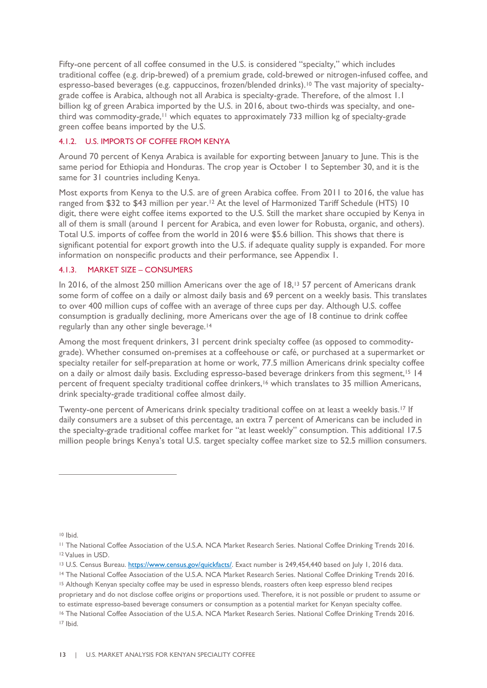Fifty-one percent of all coffee consumed in the U.S. is considered "specialty," which includes traditional coffee (e.g. drip-brewed) of a premium grade, cold-brewed or nitrogen-infused coffee, and espresso-based beverages (e.g. cappuccinos, frozen/blended drinks).<sup>10</sup> The vast majority of specialtygrade coffee is Arabica, although not all Arabica is specialty-grade. Therefore, of the almost 1.1 billion kg of green Arabica imported by the U.S. in 2016, about two-thirds was specialty, and onethird was commodity-grade,<sup>11</sup> which equates to approximately 733 million kg of specialty-grade green coffee beans imported by the U.S.

### <span id="page-12-0"></span>4.1.2. U.S. IMPORTS OF COFFEE FROM KENYA

Around 70 percent of Kenya Arabica is available for exporting between January to June. This is the same period for Ethiopia and Honduras. The crop year is October 1 to September 30, and it is the same for 31 countries including Kenya.

Most exports from Kenya to the U.S. are of green Arabica coffee. From 2011 to 2016, the value has ranged from \$32 to \$43 million per year.<sup>12</sup> At the level of Harmonized Tariff Schedule (HTS) 10 digit, there were eight coffee items exported to the U.S. Still the market share occupied by Kenya in all of them is small (around 1 percent for Arabica, and even lower for Robusta, organic, and others). Total U.S. imports of coffee from the world in 2016 were \$5.6 billion. This shows that there is significant potential for export growth into the U.S. if adequate quality supply is expanded. For more information on nonspecific products and their performance, see Appendix 1.

### <span id="page-12-1"></span>4.1.3. MARKET SIZE – CONSUMERS

In 2016, of the almost 250 million Americans over the age of 18,<sup>13</sup> 57 percent of Americans drank some form of coffee on a daily or almost daily basis and 69 percent on a weekly basis. This translates to over 400 million cups of coffee with an average of three cups per day. Although U.S. coffee consumption is gradually declining, more Americans over the age of 18 continue to drink coffee regularly than any other single beverage.<sup>14</sup>

Among the most frequent drinkers, 31 percent drink specialty coffee (as opposed to commoditygrade). Whether consumed on-premises at a coffeehouse or café, or purchased at a supermarket or specialty retailer for self-preparation at home or work, 77.5 million Americans drink specialty coffee on a daily or almost daily basis. Excluding espresso-based beverage drinkers from this segment,<sup>15</sup> 14 percent of frequent specialty traditional coffee drinkers,<sup>16</sup> which translates to 35 million Americans, drink specialty-grade traditional coffee almost daily.

Twenty-one percent of Americans drink specialty traditional coffee on at least a weekly basis.<sup>17</sup> If daily consumers are a subset of this percentage, an extra 7 percent of Americans can be included in the specialty-grade traditional coffee market for "at least weekly" consumption. This additional 17.5 million people brings Kenya's total U.S. target specialty coffee market size to 52.5 million consumers.

<sup>10</sup> Ibid.

<sup>11</sup> The National Coffee Association of the U.S.A. NCA Market Research Series. National Coffee Drinking Trends 2016. <sup>12</sup> Values in USD.

<sup>&</sup>lt;sup>13</sup> U.S. Census Bureau. [https://www.census.gov/quickfacts/.](https://www.census.gov/quickfacts/) Exact number is 249,454,440 based on July 1, 2016 data.

<sup>14</sup> The National Coffee Association of the U.S.A. NCA Market Research Series. National Coffee Drinking Trends 2016.

<sup>15</sup> Although Kenyan specialty coffee may be used in espresso blends, roasters often keep espresso blend recipes

proprietary and do not disclose coffee origins or proportions used. Therefore, it is not possible or prudent to assume or to estimate espresso-based beverage consumers or consumption as a potential market for Kenyan specialty coffee.

<sup>16</sup> The National Coffee Association of the U.S.A. NCA Market Research Series. National Coffee Drinking Trends 2016. <sup>17</sup> Ibid.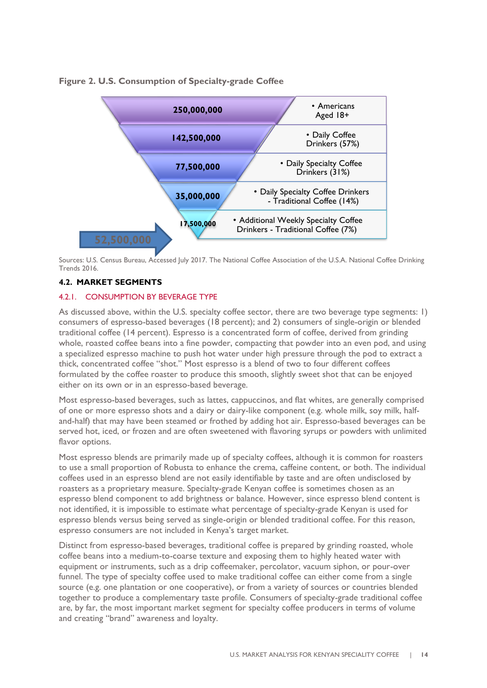**Figure 2. U.S. Consumption of Specialty-grade Coffee**



Sources: U.S. Census Bureau, Accessed July 2017. The National Coffee Association of the U.S.A. National Coffee Drinking Trends 2016.

### <span id="page-13-0"></span>**4.2. MARKET SEGMENTS**

### <span id="page-13-1"></span>4.2.1. CONSUMPTION BY BEVERAGE TYPE

As discussed above, within the U.S. specialty coffee sector, there are two beverage type segments: 1) consumers of espresso-based beverages (18 percent); and 2) consumers of single-origin or blended traditional coffee (14 percent). Espresso is a concentrated form of coffee, derived from grinding whole, roasted coffee beans into a fine powder, compacting that powder into an even pod, and using a specialized espresso machine to push hot water under high pressure through the pod to extract a thick, concentrated coffee "shot." Most espresso is a blend of two to four different coffees formulated by the coffee roaster to produce this smooth, slightly sweet shot that can be enjoyed either on its own or in an espresso-based beverage.

Most espresso-based beverages, such as lattes, cappuccinos, and flat whites, are generally comprised of one or more espresso shots and a dairy or dairy-like component (e.g. whole milk, soy milk, halfand-half) that may have been steamed or frothed by adding hot air. Espresso-based beverages can be served hot, iced, or frozen and are often sweetened with flavoring syrups or powders with unlimited flavor options.

Most espresso blends are primarily made up of specialty coffees, although it is common for roasters to use a small proportion of Robusta to enhance the crema, caffeine content, or both. The individual coffees used in an espresso blend are not easily identifiable by taste and are often undisclosed by roasters as a proprietary measure. Specialty-grade Kenyan coffee is sometimes chosen as an espresso blend component to add brightness or balance. However, since espresso blend content is not identified, it is impossible to estimate what percentage of specialty-grade Kenyan is used for espresso blends versus being served as single-origin or blended traditional coffee. For this reason, espresso consumers are not included in Kenya's target market.

Distinct from espresso-based beverages, traditional coffee is prepared by grinding roasted, whole coffee beans into a medium-to-coarse texture and exposing them to highly heated water with equipment or instruments, such as a drip coffeemaker, percolator, vacuum siphon, or pour-over funnel. The type of specialty coffee used to make traditional coffee can either come from a single source (e.g. one plantation or one cooperative), or from a variety of sources or countries blended together to produce a complementary taste profile. Consumers of specialty-grade traditional coffee are, by far, the most important market segment for specialty coffee producers in terms of volume and creating "brand" awareness and loyalty.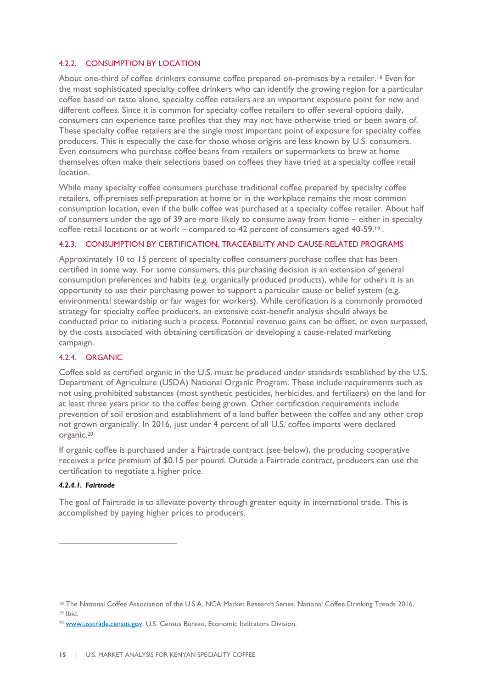### <span id="page-14-0"></span>4.2.2. CONSUMPTION BY LOCATION

About one-third of coffee drinkers consume coffee prepared on-premises by a retailer.<sup>18</sup> Even for the most sophisticated specialty coffee drinkers who can identify the growing region for a particular coffee based on taste alone, specialty coffee retailers are an important exposure point for new and different coffees. Since it is common for specialty coffee retailers to offer several options daily, consumers can experience taste profiles that they may not have otherwise tried or been aware of. These specialty coffee retailers are the single most important point of exposure for specialty coffee producers. This is especially the case for those whose origins are less known by U.S. consumers. Even consumers who purchase coffee beans from retailers or supermarkets to brew at home themselves often make their selections based on coffees they have tried at a specialty coffee retail location.

While many specialty coffee consumers purchase traditional coffee prepared by specialty coffee retailers, off-premises self-preparation at home or in the workplace remains the most common consumption location, even if the bulk coffee was purchased at a specialty coffee retailer. About half of consumers under the age of 39 are more likely to consume away from home – either in specialty coffee retail locations or at work – compared to 42 percent of consumers aged 40-59.<sup>19</sup>.

### <span id="page-14-1"></span>4.2.3. CONSUMPTION BY CERTIFICATION, TRACEABILITY AND CAUSE-RELATED PROGRAMS

Approximately 10 to 15 percent of specialty coffee consumers purchase coffee that has been certified in some way. For some consumers, this purchasing decision is an extension of general consumption preferences and habits (e.g. organically produced products), while for others it is an opportunity to use their purchasing power to support a particular cause or belief system (e.g. environmental stewardship or fair wages for workers). While certification is a commonly promoted strategy for specialty coffee producers, an extensive cost-benefit analysis should always be conducted prior to initiating such a process. Potential revenue gains can be offset, or even surpassed, by the costs associated with obtaining certification or developing a cause-related marketing campaign.

### <span id="page-14-2"></span>4.2.4. ORGANIC

Coffee sold as certified organic in the U.S. must be produced under standards established by the U.S. Department of Agriculture (USDA) National Organic Program. These include requirements such as not using prohibited substances (most synthetic pesticides, herbicides, and fertilizers) on the land for at least three years prior to the coffee being grown. Other certification requirements include prevention of soil erosion and establishment of a land buffer between the coffee and any other crop not grown organically. In 2016, just under 4 percent of all U.S. coffee imports were declared organic.<sup>20</sup>

If organic coffee is purchased under a Fairtrade contract (see below), the producing cooperative receives a price premium of \$0.15 per pound. Outside a Fairtrade contract, producers can use the certification to negotiate a higher price.

### *4.2.4.1. Fairtrade*

 $\overline{a}$ 

The goal of Fairtrade is to alleviate poverty through greater equity in international trade. This is accomplished by paying higher prices to producers.

<sup>18</sup> The National Coffee Association of the U.S.A. NCA Market Research Series. National Coffee Drinking Trends 2016. <sup>19</sup> Ibid.

<sup>20</sup> [www.usatrade.census.gov.](http://www.usatrade.census.gov/) U.S. Census Bureau, Economic Indicators Division.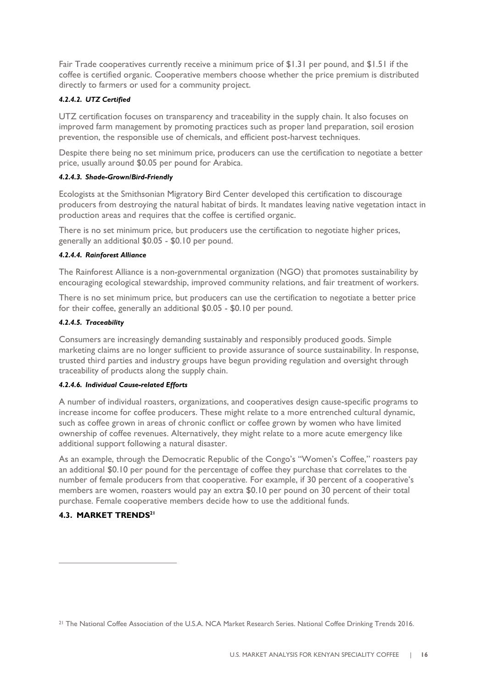Fair Trade cooperatives currently receive a minimum price of \$1.31 per pound, and \$1.51 if the coffee is certified organic. Cooperative members choose whether the price premium is distributed directly to farmers or used for a community project.

### *4.2.4.2. UTZ Certified*

UTZ certification focuses on transparency and traceability in the supply chain. It also focuses on improved farm management by promoting practices such as proper land preparation, soil erosion prevention, the responsible use of chemicals, and efficient post-harvest techniques.

Despite there being no set minimum price, producers can use the certification to negotiate a better price, usually around \$0.05 per pound for Arabica.

### *4.2.4.3. Shade-Grown/Bird-Friendly*

Ecologists at the Smithsonian Migratory Bird Center developed this certification to discourage producers from destroying the natural habitat of birds. It mandates leaving native vegetation intact in production areas and requires that the coffee is certified organic.

There is no set minimum price, but producers use the certification to negotiate higher prices, generally an additional \$0.05 - \$0.10 per pound.

### *4.2.4.4. Rainforest Alliance*

The Rainforest Alliance is a non-governmental organization (NGO) that promotes sustainability by encouraging ecological stewardship, improved community relations, and fair treatment of workers.

There is no set minimum price, but producers can use the certification to negotiate a better price for their coffee, generally an additional \$0.05 - \$0.10 per pound.

### *4.2.4.5. Traceability*

Consumers are increasingly demanding sustainably and responsibly produced goods. Simple marketing claims are no longer sufficient to provide assurance of source sustainability. In response, trusted third parties and industry groups have begun providing regulation and oversight through traceability of products along the supply chain.

### *4.2.4.6. Individual Cause-related Efforts*

A number of individual roasters, organizations, and cooperatives design cause-specific programs to increase income for coffee producers. These might relate to a more entrenched cultural dynamic, such as coffee grown in areas of chronic conflict or coffee grown by women who have limited ownership of coffee revenues. Alternatively, they might relate to a more acute emergency like additional support following a natural disaster.

As an example, through the Democratic Republic of the Congo's "Women's Coffee," roasters pay an additional \$0.10 per pound for the percentage of coffee they purchase that correlates to the number of female producers from that cooperative. For example, if 30 percent of a cooperative's members are women, roasters would pay an extra \$0.10 per pound on 30 percent of their total purchase. Female cooperative members decide how to use the additional funds.

### <span id="page-15-0"></span>**4.3. MARKET TRENDS<sup>21</sup>**

<sup>21</sup> The National Coffee Association of the U.S.A. NCA Market Research Series. National Coffee Drinking Trends 2016.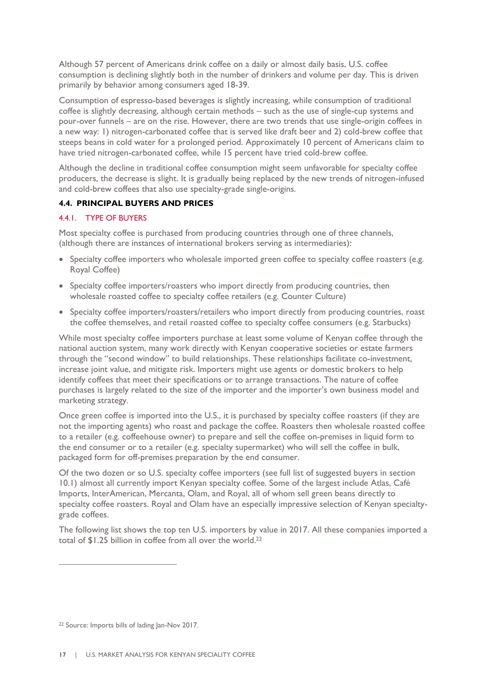Although 57 percent of Americans drink coffee on a daily or almost daily basis, U.S. coffee consumption is declining slightly both in the number of drinkers and volume per day. This is driven primarily by behavior among consumers aged 18-39.

Consumption of espresso-based beverages is slightly increasing, while consumption of traditional coffee is slightly decreasing, although certain methods – such as the use of single-cup systems and pour-over funnels – are on the rise. However, there are two trends that use single-origin coffees in a new way: 1) nitrogen-carbonated coffee that is served like draft beer and 2) cold-brew coffee that steeps beans in cold water for a prolonged period. Approximately 10 percent of Americans claim to have tried nitrogen-carbonated coffee, while 15 percent have tried cold-brew coffee.

Although the decline in traditional coffee consumption might seem unfavorable for specialty coffee producers, the decrease is slight. It is gradually being replaced by the new trends of nitrogen-infused and cold-brew coffees that also use specialty-grade single-origins.

### <span id="page-16-0"></span>**4.4. PRINCIPAL BUYERS AND PRICES**

### <span id="page-16-1"></span>4.4.1. TYPE OF BUYERS

Most specialty coffee is purchased from producing countries through one of three channels, (although there are instances of international brokers serving as intermediaries):

- Specialty coffee importers who wholesale imported green coffee to specialty coffee roasters (e.g. Royal Coffee)
- Specialty coffee importers/roasters who import directly from producing countries, then wholesale roasted coffee to specialty coffee retailers (e.g. Counter Culture)
- Specialty coffee importers/roasters/retailers who import directly from producing countries, roast the coffee themselves, and retail roasted coffee to specialty coffee consumers (e.g. Starbucks)

While most specialty coffee importers purchase at least some volume of Kenyan coffee through the national auction system, many work directly with Kenyan cooperative societies or estate farmers through the "second window" to build relationships. These relationships facilitate co-investment, increase joint value, and mitigate risk. Importers might use agents or domestic brokers to help identify coffees that meet their specifications or to arrange transactions. The nature of coffee purchases is largely related to the size of the importer and the importer's own business model and marketing strategy.

Once green coffee is imported into the U.S., it is purchased by specialty coffee roasters (if they are not the importing agents) who roast and package the coffee. Roasters then wholesale roasted coffee to a retailer (e.g. coffeehouse owner) to prepare and sell the coffee on-premises in liquid form to the end consumer or to a retailer (e.g. specialty supermarket) who will sell the coffee in bulk, packaged form for off-premises preparation by the end consumer.

Of the two dozen or so U.S. specialty coffee importers (see full list of suggested buyers in section 10.1) almost all currently import Kenyan specialty coffee. Some of the largest include Atlas, Café Imports, InterAmerican, Mercanta, Olam, and Royal, all of whom sell green beans directly to specialty coffee roasters. Royal and Olam have an especially impressive selection of Kenyan specialtygrade coffees.

The following list shows the top ten U.S. importers by value in 2017. All these companies imported a total of \$1.25 billion in coffee from all over the world.<sup>22</sup>

<sup>22</sup> Source: Imports bills of lading Jan-Nov 2017.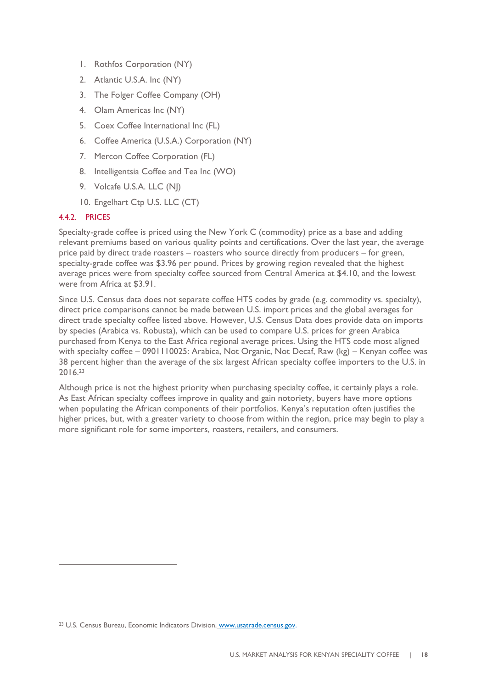- 1. Rothfos Corporation (NY)
- 2. Atlantic U.S.A. Inc (NY)
- 3. The Folger Coffee Company (OH)
- 4. Olam Americas Inc (NY)
- 5. Coex Coffee International Inc (FL)
- 6. Coffee America (U.S.A.) Corporation (NY)
- 7. Mercon Coffee Corporation (FL)
- 8. Intelligentsia Coffee and Tea Inc (WO)
- 9. Volcafe U.S.A. LLC (NJ)
- 10. Engelhart Ctp U.S. LLC (CT)

### <span id="page-17-0"></span>4.4.2. PRICES

 $\overline{a}$ 

Specialty-grade coffee is priced using the New York C (commodity) price as a base and adding relevant premiums based on various quality points and certifications. Over the last year, the average price paid by direct trade roasters – roasters who source directly from producers – for green, specialty-grade coffee was \$3.96 per pound. Prices by growing region revealed that the highest average prices were from specialty coffee sourced from Central America at \$4.10, and the lowest were from Africa at \$3.91.

Since U.S. Census data does not separate coffee HTS codes by grade (e.g. commodity vs. specialty), direct price comparisons cannot be made between U.S. import prices and the global averages for direct trade specialty coffee listed above. However, U.S. Census Data does provide data on imports by species (Arabica vs. Robusta), which can be used to compare U.S. prices for green Arabica purchased from Kenya to the East Africa regional average prices. Using the HTS code most aligned with specialty coffee – 0901110025: Arabica, Not Organic, Not Decaf, Raw (kg) – Kenyan coffee was 38 percent higher than the average of the six largest African specialty coffee importers to the U.S. in 2016.<sup>23</sup>

Although price is not the highest priority when purchasing specialty coffee, it certainly plays a role. As East African specialty coffees improve in quality and gain notoriety, buyers have more options when populating the African components of their portfolios. Kenya's reputation often justifies the higher prices, but, with a greater variety to choose from within the region, price may begin to play a more significant role for some importers, roasters, retailers, and consumers.

<sup>23</sup> U.S. Census Bureau, Economic Indicators Division. [www.usatrade.census.gov.](http://www.usatrade.census.gov/)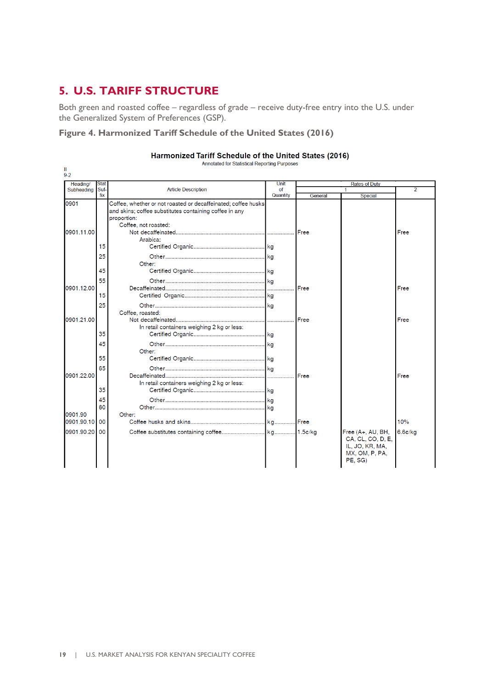### <span id="page-18-0"></span>**5. U.S. TARIFF STRUCTURE**

Both green and roasted coffee – regardless of grade – receive duty-free entry into the U.S. under the Generalized System of Preferences (GSP).

### **Figure 4. Harmonized Tariff Schedule of the United States (2016)**

| Heading/      | <b>Stat</b> |                                                                                                                                                                | Unit     |             | <b>Rates of Duty</b>                                                                   |                |
|---------------|-------------|----------------------------------------------------------------------------------------------------------------------------------------------------------------|----------|-------------|----------------------------------------------------------------------------------------|----------------|
| Subheading    | Suf-        | <b>Article Description</b>                                                                                                                                     | of       |             |                                                                                        | $\overline{2}$ |
|               | fix         |                                                                                                                                                                | Quantity | General     | <b>Special</b>                                                                         |                |
| 0901          |             | Coffee, whether or not roasted or decaffeinated; coffee husks<br>and skins; coffee substitutes containing coffee in any<br>proportion:<br>Coffee, not roasted: |          |             |                                                                                        |                |
| 0901.11.00    |             | Arabica:                                                                                                                                                       |          | Free        |                                                                                        | Free           |
|               | 15          |                                                                                                                                                                |          |             |                                                                                        |                |
|               | 25          | Other:                                                                                                                                                         |          |             |                                                                                        |                |
|               | 45          |                                                                                                                                                                |          |             |                                                                                        |                |
| 0901.12.00    | 55          |                                                                                                                                                                |          | Free        |                                                                                        | Free           |
|               | 15          |                                                                                                                                                                |          |             |                                                                                        |                |
|               | 25          | Coffee, roasted:                                                                                                                                               |          |             |                                                                                        |                |
| 0901.21.00    |             | In retail containers weighing 2 kg or less:                                                                                                                    | .        | Free        |                                                                                        | Free           |
|               | 35          |                                                                                                                                                                |          |             |                                                                                        |                |
|               | 45<br>55    | Other:                                                                                                                                                         |          |             |                                                                                        |                |
|               |             |                                                                                                                                                                |          |             |                                                                                        |                |
| 0901.22.00    | 65          | In retail containers weighing 2 kg or less:                                                                                                                    | .        | <b>Free</b> |                                                                                        | Free           |
|               | 35          |                                                                                                                                                                |          |             |                                                                                        |                |
|               | 45<br>60    |                                                                                                                                                                |          |             |                                                                                        |                |
| 0901.90       |             | Other:                                                                                                                                                         |          |             |                                                                                        | 10%            |
| 0901.90.10 00 |             |                                                                                                                                                                |          |             |                                                                                        |                |
| 0901.90.20    | 00          |                                                                                                                                                                |          |             | Free (A+, AU, BH,<br>CA, CL, CO, D, E,<br>IL, JO, KR, MA,<br>MX, OM, P, PA,<br>PE. SG) | 6.6c/kg        |

#### Harmonized Tariff Schedule of the United States (2016) Annotated for Statistical Reporting Pur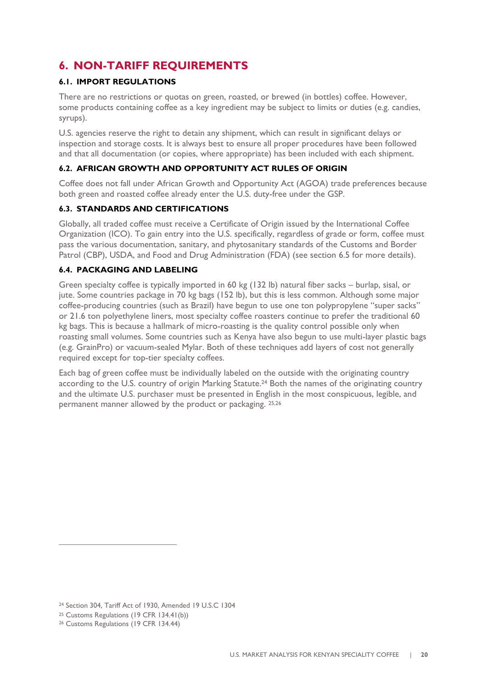### <span id="page-19-0"></span>**6. NON-TARIFF REQUIREMENTS**

### <span id="page-19-1"></span>**6.1. IMPORT REGULATIONS**

There are no restrictions or quotas on green, roasted, or brewed (in bottles) coffee. However, some products containing coffee as a key ingredient may be subject to limits or duties (e.g. candies, syrups).

U.S. agencies reserve the right to detain any shipment, which can result in significant delays or inspection and storage costs. It is always best to ensure all proper procedures have been followed and that all documentation (or copies, where appropriate) has been included with each shipment.

### <span id="page-19-2"></span>**6.2. AFRICAN GROWTH AND OPPORTUNITY ACT RULES OF ORIGIN**

Coffee does not fall under African Growth and Opportunity Act (AGOA) trade preferences because both green and roasted coffee already enter the U.S. duty-free under the GSP.

### <span id="page-19-3"></span>**6.3. STANDARDS AND CERTIFICATIONS**

Globally, all traded coffee must receive a Certificate of Origin issued by the International Coffee Organization (ICO). To gain entry into the U.S. specifically, regardless of grade or form, coffee must pass the various documentation, sanitary, and phytosanitary standards of the Customs and Border Patrol (CBP), USDA, and Food and Drug Administration (FDA) (see section 6.5 for more details).

### <span id="page-19-4"></span>**6.4. PACKAGING AND LABELING**

Green specialty coffee is typically imported in 60 kg (132 lb) natural fiber sacks – burlap, sisal, or jute. Some countries package in 70 kg bags (152 lb), but this is less common. Although some major coffee-producing countries (such as Brazil) have begun to use one ton polypropylene "super sacks" or 21.6 ton polyethylene liners, most specialty coffee roasters continue to prefer the traditional 60 kg bags. This is because a hallmark of micro-roasting is the quality control possible only when roasting small volumes. Some countries such as Kenya have also begun to use multi-layer plastic bags (e.g. GrainPro) or vacuum-sealed Mylar. Both of these techniques add layers of cost not generally required except for top-tier specialty coffees.

Each bag of green coffee must be individually labeled on the outside with the originating country according to the U.S. country of origin Marking Statute.<sup>24</sup> Both the names of the originating country and the ultimate U.S. purchaser must be presented in English in the most conspicuous, legible, and permanent manner allowed by the product or packaging. 25,26

<sup>24</sup> Section 304, Tariff Act of 1930, Amended 19 U.S.C 1304

<sup>25</sup> Customs Regulations (19 CFR 134.41(b))

<sup>26</sup> Customs Regulations (19 CFR 134.44)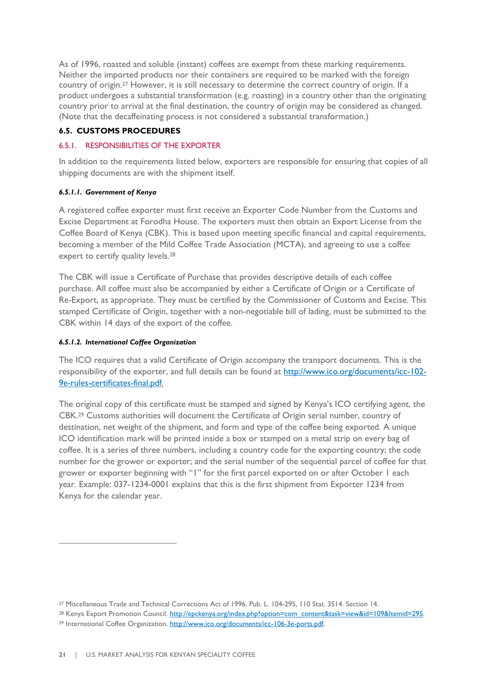As of 1996, roasted and soluble (instant) coffees are exempt from these marking requirements. Neither the imported products nor their containers are required to be marked with the foreign country of origin.<sup>27</sup> However, it is still necessary to determine the correct country of origin. If a product undergoes a substantial transformation (e.g. roasting) in a country other than the originating country prior to arrival at the final destination, the country of origin may be considered as changed. (Note that the decaffeinating process is not considered a substantial transformation.)

### <span id="page-20-0"></span>**6.5. CUSTOMS PROCEDURES**

### <span id="page-20-1"></span>6.5.1. RESPONSIBILITIES OF THE EXPORTER

In addition to the requirements listed below, exporters are responsible for ensuring that copies of all shipping documents are with the shipment itself.

### *6.5.1.1. Government of Kenya*

A registered coffee exporter must first receive an Exporter Code Number from the Customs and Excise Department at Forodha House. The exporters must then obtain an Export License from the Coffee Board of Kenya (CBK). This is based upon meeting specific financial and capital requirements, becoming a member of the Mild Coffee Trade Association (MCTA), and agreeing to use a coffee expert to certify quality levels.<sup>28</sup>

The CBK will issue a Certificate of Purchase that provides descriptive details of each coffee purchase. All coffee must also be accompanied by either a Certificate of Origin or a Certificate of Re-Export, as appropriate. They must be certified by the Commissioner of Customs and Excise. This stamped Certificate of Origin, together with a non-negotiable bill of lading, must be submitted to the CBK within 14 days of the export of the coffee.

### *6.5.1.2. International Coffee Organization*

 $\overline{a}$ 

The ICO requires that a valid Certificate of Origin accompany the transport documents. This is the responsibility of the exporter, and full details can be found at [http://www.ico.org/documents/icc-102-](http://www.ico.org/documents/icc-102-9e-rules-certificates-final.pdf) [9e-rules-certificates-final.pdf.](http://www.ico.org/documents/icc-102-9e-rules-certificates-final.pdf)

The original copy of this certificate must be stamped and signed by Kenya's ICO certifying agent, the CBK.<sup>29</sup> Customs authorities will document the Certificate of Origin serial number, country of destination, net weight of the shipment, and form and type of the coffee being exported. A unique ICO identification mark will be printed inside a box or stamped on a metal strip on every bag of coffee. It is a series of three numbers, including a country code for the exporting country; the code number for the grower or exporter; and the serial number of the sequential parcel of coffee for that grower or exporter beginning with "1" for the first parcel exported on or after October 1 each year. Example: 037-1234-0001 explains that this is the first shipment from Exporter 1234 from Kenya for the calendar year.

<sup>27</sup> Miscellaneous Trade and Technical Corrections Act of 1996. Pub. L. 104-295, 110 Stat. 3514. Section 14.

<sup>&</sup>lt;sup>28</sup> Kenya Export Promotion Council. http://epckenya.org/index.php?option=com\_content&task=view&id=109&Itemid=295. <sup>29</sup> International Coffee Organization. [http://www.ico.org/documents/icc-106-3e-ports.pdf.](http://www.ico.org/documents/icc-106-3e-ports.pdf)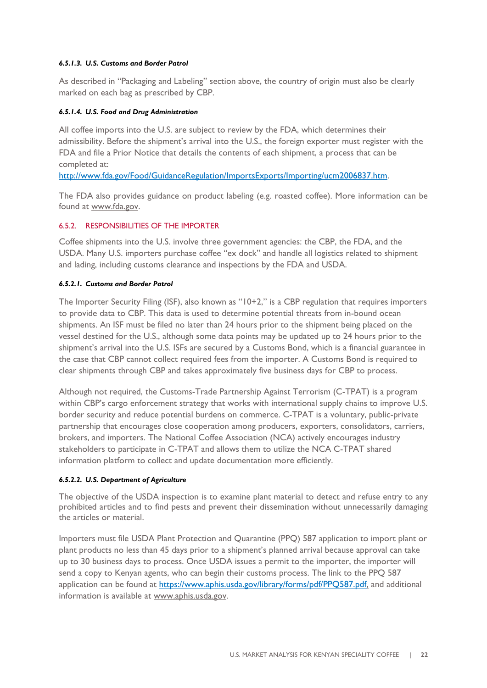### *6.5.1.3. U.S. Customs and Border Patrol*

As described in "Packaging and Labeling" section above, the country of origin must also be clearly marked on each bag as prescribed by CBP.

### *6.5.1.4. U.S. Food and Drug Administration*

All coffee imports into the U.S. are subject to review by the FDA, which determines their admissibility. Before the shipment's arrival into the U.S., the foreign exporter must register with the FDA and file a Prior Notice that details the contents of each shipment, a process that can be completed at:

[http://www.fda.gov/Food/GuidanceRegulation/ImportsExports/Importing/ucm2006837.htm.](http://www.fda.gov/Food/GuidanceRegulation/ImportsExports/Importing/ucm2006837.htm)

The FDA also provides guidance on product labeling (e.g. roasted coffee). More information can be found at [www.fda.gov.](http://www.fda.gov/)

### <span id="page-21-0"></span>6.5.2. RESPONSIBILITIES OF THE IMPORTER

Coffee shipments into the U.S. involve three government agencies: the CBP, the FDA, and the USDA. Many U.S. importers purchase coffee "ex dock" and handle all logistics related to shipment and lading, including customs clearance and inspections by the FDA and USDA.

### *6.5.2.1. Customs and Border Patrol*

The Importer Security Filing (ISF), also known as "10+2," is a CBP regulation that requires importers to provide data to CBP. This data is used to determine potential threats from in-bound ocean shipments. An ISF must be filed no later than 24 hours prior to the shipment being placed on the vessel destined for the U.S., although some data points may be updated up to 24 hours prior to the shipment's arrival into the U.S. ISFs are secured by a Customs Bond, which is a financial guarantee in the case that CBP cannot collect required fees from the importer. A Customs Bond is required to clear shipments through CBP and takes approximately five business days for CBP to process.

Although not required, the Customs-Trade Partnership Against Terrorism (C-TPAT) is a program within CBP's cargo enforcement strategy that works with international supply chains to improve U.S. border security and reduce potential burdens on commerce. C-TPAT is a voluntary, public-private partnership that encourages close cooperation among producers, exporters, consolidators, carriers, brokers, and importers. The National Coffee Association (NCA) actively encourages industry stakeholders to participate in C-TPAT and allows them to utilize the NCA C-TPAT shared information platform to collect and update documentation more efficiently.

### *6.5.2.2. U.S. Department of Agriculture*

The objective of the USDA inspection is to examine plant material to detect and refuse entry to any prohibited articles and to find pests and prevent their dissemination without unnecessarily damaging the articles or material.

Importers must file USDA Plant Protection and Quarantine (PPQ) 587 application to import plant or plant products no less than 45 days prior to a shipment's planned arrival because approval can take up to 30 business days to process. Once USDA issues a permit to the importer, the importer will send a copy to Kenyan agents, who can begin their customs process. The link to the PPQ 587 application can be found at [https://www.aphis.usda.gov/library/forms/pdf/PPQ587.pdf,](https://www.aphis.usda.gov/library/forms/pdf/PPQ587.pdf) and additional information is available at [www.aphis.usda.gov.](http://www.aphis.usda.gov/)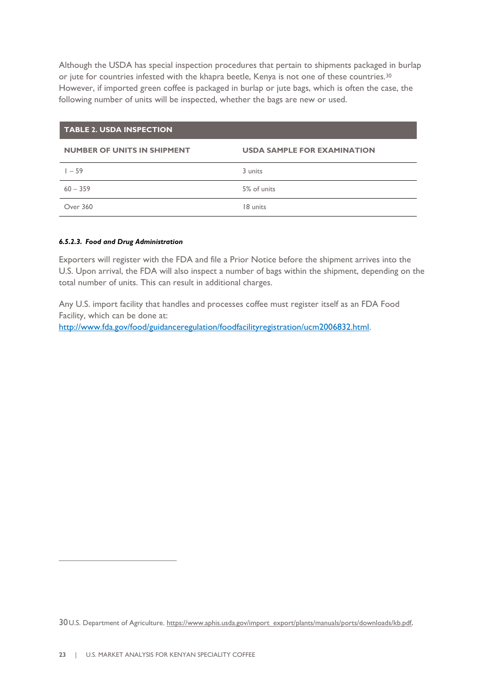Although the USDA has special inspection procedures that pertain to shipments packaged in burlap or jute for countries infested with the khapra beetle, Kenya is not one of these countries.<sup>30</sup> However, if imported green coffee is packaged in burlap or jute bags, which is often the case, the following number of units will be inspected, whether the bags are new or used.

### **TABLE 2. USDA INSPECTION**

### **NUMBER OF UNITS IN SHIPMENT USDA SAMPLE FOR EXAMINATION**

| $1 - 59$   | 3 units     |
|------------|-------------|
| $60 - 359$ | 5% of units |
| Over 360   | 18 units    |

### *6.5.2.3. Food and Drug Administration*

Exporters will register with the FDA and file a Prior Notice before the shipment arrives into the U.S. Upon arrival, the FDA will also inspect a number of bags within the shipment, depending on the total number of units. This can result in additional charges.

Any U.S. import facility that handles and processes coffee must register itself as an FDA Food Facility, which can be done at:

[http://www.fda.gov/food/guidanceregulation/foodfacilityregistration/ucm2006832.html.](http://www.fda.gov/food/guidanceregulation/foodfacilityregistration/ucm2006832.html)

<sup>30</sup> U.S. Department of Agriculture. [https://www.aphis.usda.gov/import\\_export/plants/manuals/ports/downloads/kb.pdf.](https://www.aphis.usda.gov/import_export/plants/manuals/ports/downloads/kb.pdf)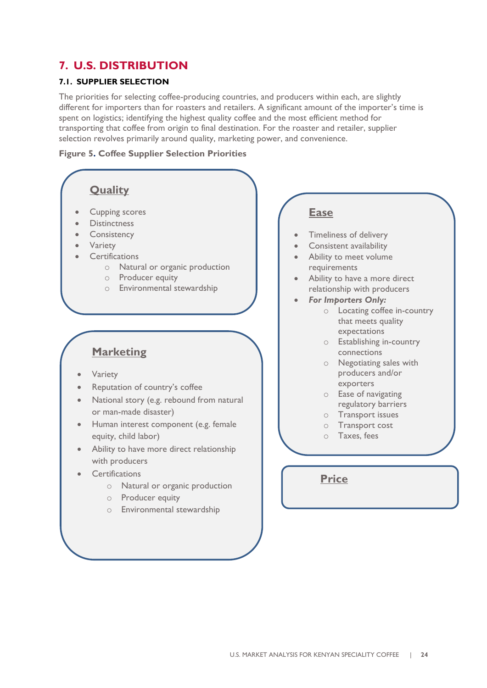### <span id="page-23-0"></span>**7. U.S. DISTRIBUTION**

### <span id="page-23-1"></span>**7.1. SUPPLIER SELECTION**

The priorities for selecting coffee-producing countries, and producers within each, are slightly different for importers than for roasters and retailers. A significant amount of the importer's time is spent on logistics; identifying the highest quality coffee and the most efficient method for transporting that coffee from origin to final destination. For the roaster and retailer, supplier selection revolves primarily around quality, marketing power, and convenience.

### **Figure 5. Coffee Supplier Selection Priorities**

### **Quality**

- Cupping scores
- **Distinctness**
- **Consistency**
- **Variety**
- **Certifications** 
	- o Natural or organic production
	- o Producer equity
	- o Environmental stewardship

### **Marketing**

- **Variety**
- Reputation of country's coffee
- National story (e.g. rebound from natural or man-made disaster)
- Human interest component (e.g. female equity, child labor)
- Ability to have more direct relationship with producers
- **Certifications** 
	- o Natural or organic production
	- o Producer equity
	- o Environmental stewardship

### **Ease**

- Timeliness of delivery
- Consistent availability
- Ability to meet volume requirements
- Ability to have a more direct relationship with producers
- *For Importers Only:*
	- o Locating coffee in-country that meets quality expectations
	- o Establishing in-country connections
	- o Negotiating sales with producers and/or exporters
	- o Ease of navigating regulatory barriers
	- o Transport issues
	- o Transport cost
	- o Taxes, fees

**Price**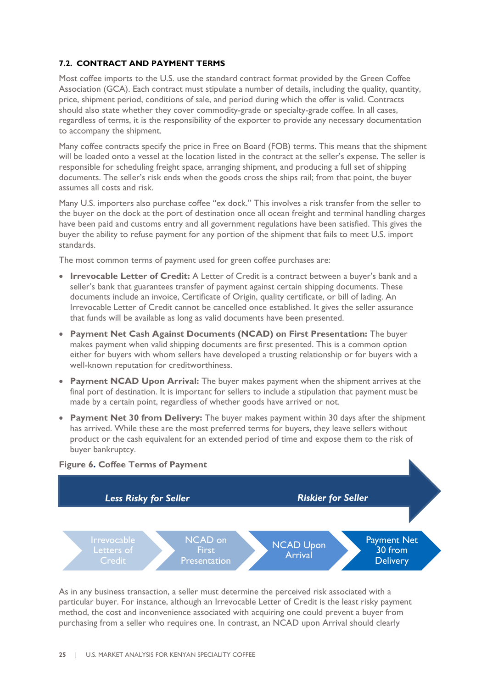### <span id="page-24-0"></span>**7.2. CONTRACT AND PAYMENT TERMS**

Most coffee imports to the U.S. use the standard contract format provided by the Green Coffee Association (GCA). Each contract must stipulate a number of details, including the quality, quantity, price, shipment period, conditions of sale, and period during which the offer is valid. Contracts should also state whether they cover commodity-grade or specialty-grade coffee. In all cases, regardless of terms, it is the responsibility of the exporter to provide any necessary documentation to accompany the shipment.

Many coffee contracts specify the price in Free on Board (FOB) terms. This means that the shipment will be loaded onto a vessel at the location listed in the contract at the seller's expense. The seller is responsible for scheduling freight space, arranging shipment, and producing a full set of shipping documents. The seller's risk ends when the goods cross the ships rail; from that point, the buyer assumes all costs and risk.

Many U.S. importers also purchase coffee "ex dock." This involves a risk transfer from the seller to the buyer on the dock at the port of destination once all ocean freight and terminal handling charges have been paid and customs entry and all government regulations have been satisfied. This gives the buyer the ability to refuse payment for any portion of the shipment that fails to meet U.S. import standards.

The most common terms of payment used for green coffee purchases are:

- **Irrevocable Letter of Credit:** A Letter of Credit is a contract between a buyer's bank and a seller's bank that guarantees transfer of payment against certain shipping documents. These documents include an invoice, Certificate of Origin, quality certificate, or bill of lading. An Irrevocable Letter of Credit cannot be cancelled once established. It gives the seller assurance that funds will be available as long as valid documents have been presented.
- **Payment Net Cash Against Documents (NCAD) on First Presentation:** The buyer makes payment when valid shipping documents are first presented. This is a common option either for buyers with whom sellers have developed a trusting relationship or for buyers with a well-known reputation for creditworthiness.
- **Payment NCAD Upon Arrival:** The buyer makes payment when the shipment arrives at the final port of destination. It is important for sellers to include a stipulation that payment must be made by a certain point, regardless of whether goods have arrived or not.
- **Payment Net 30 from Delivery:** The buyer makes payment within 30 days after the shipment has arrived. While these are the most preferred terms for buyers, they leave sellers without product or the cash equivalent for an extended period of time and expose them to the risk of buyer bankruptcy.



As in any business transaction, a seller must determine the perceived risk associated with a particular buyer. For instance, although an Irrevocable Letter of Credit is the least risky payment method, the cost and inconvenience associated with acquiring one could prevent a buyer from purchasing from a seller who requires one. In contrast, an NCAD upon Arrival should clearly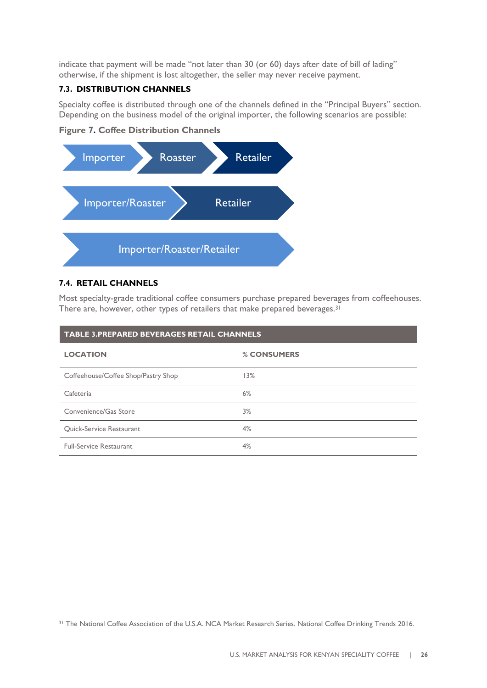indicate that payment will be made "not later than 30 (or 60) days after date of bill of lading" otherwise, if the shipment is lost altogether, the seller may never receive payment.

### <span id="page-25-0"></span>**7.3. DISTRIBUTION CHANNELS**

Specialty coffee is distributed through one of the channels defined in the "Principal Buyers" section. Depending on the business model of the original importer, the following scenarios are possible:

**Figure 7. Coffee Distribution Channels**



### <span id="page-25-1"></span>**7.4. RETAIL CHANNELS**

 $\overline{a}$ 

Most specialty-grade traditional coffee consumers purchase prepared beverages from coffeehouses. There are, however, other types of retailers that make prepared beverages.<sup>31</sup>

| <b>TABLE 3.PREPARED BEVERAGES RETAIL CHANNELS</b> |             |  |  |  |  |
|---------------------------------------------------|-------------|--|--|--|--|
| <b>LOCATION</b>                                   | % CONSUMERS |  |  |  |  |
| Coffeehouse/Coffee Shop/Pastry Shop               | 13%         |  |  |  |  |
| Cafeteria                                         | 6%          |  |  |  |  |
| Convenience/Gas Store                             | 3%          |  |  |  |  |
| Quick-Service Restaurant                          | 4%          |  |  |  |  |
| <b>Full-Service Restaurant</b>                    | 4%          |  |  |  |  |

<sup>31</sup> The National Coffee Association of the U.S.A. NCA Market Research Series. National Coffee Drinking Trends 2016.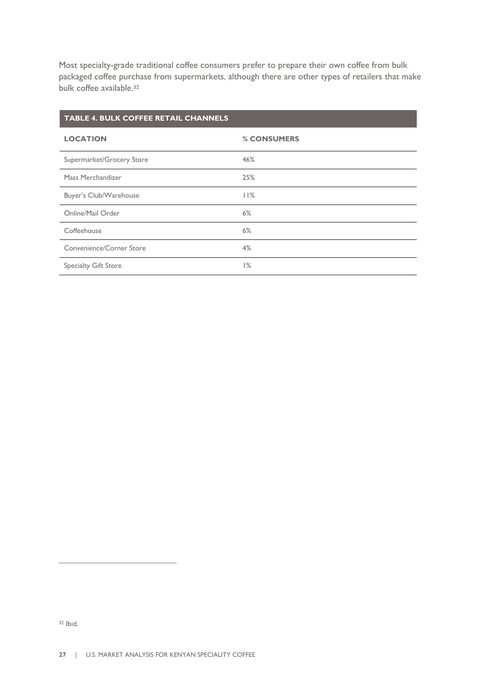Most specialty-grade traditional coffee consumers prefer to prepare their own coffee from bulk packaged coffee purchase from supermarkets, although there are other types of retailers that make bulk coffee available.<sup>32</sup>

## **TABLE 4. BULK COFFEE RETAIL CHANNELS LOCATION % CONSUMERS** Supermarket/Grocery Store 46% Mass Merchandizer 25% Buyer's Club/Warehouse 11% Online/Mail Order 6% Coffeehouse 6% Convenience/Corner Store 4% Specialty Gift Store 1%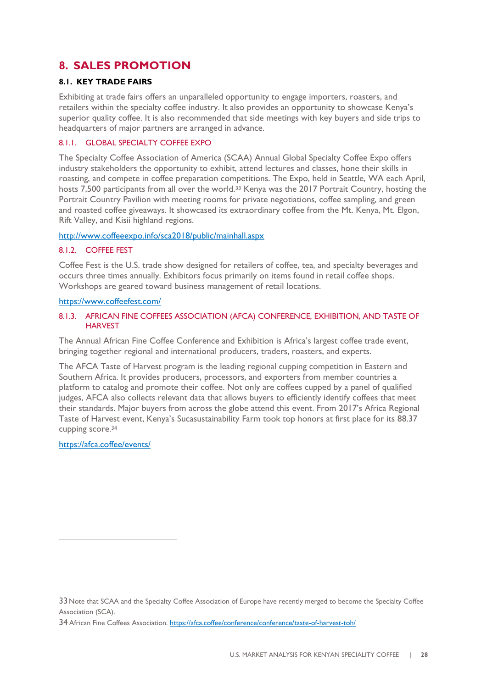### <span id="page-27-0"></span>**8. SALES PROMOTION**

### <span id="page-27-1"></span>**8.1. KEY TRADE FAIRS**

Exhibiting at trade fairs offers an unparalleled opportunity to engage importers, roasters, and retailers within the specialty coffee industry. It also provides an opportunity to showcase Kenya's superior quality coffee. It is also recommended that side meetings with key buyers and side trips to headquarters of major partners are arranged in advance.

### <span id="page-27-2"></span>8.1.1. GLOBAL SPECIALTY COFFEE EXPO

The Specialty Coffee Association of America (SCAA) Annual Global Specialty Coffee Expo offers industry stakeholders the opportunity to exhibit, attend lectures and classes, hone their skills in roasting, and compete in coffee preparation competitions. The Expo, held in Seattle, WA each April, hosts 7,500 participants from all over the world.<sup>33</sup> Kenya was the 2017 Portrait Country, hosting the Portrait Country Pavilion with meeting rooms for private negotiations, coffee sampling, and green and roasted coffee giveaways. It showcased its extraordinary coffee from the Mt. Kenya, Mt. Elgon, Rift Valley, and Kisii highland regions.

### <http://www.coffeeexpo.info/sca2018/public/mainhall.aspx>

### <span id="page-27-3"></span>8.1.2. COFFEE FEST

Coffee Fest is the U.S. trade show designed for retailers of coffee, tea, and specialty beverages and occurs three times annually. Exhibitors focus primarily on items found in retail coffee shops. Workshops are geared toward business management of retail locations.

### <https://www.coffeefest.com/>

### <span id="page-27-4"></span>8.1.3. AFRICAN FINE COFFEES ASSOCIATION (AFCA) CONFERENCE, EXHIBITION, AND TASTE OF **HARVEST**

The Annual African Fine Coffee Conference and Exhibition is Africa's largest coffee trade event, bringing together regional and international producers, traders, roasters, and experts.

The AFCA Taste of Harvest program is the leading regional cupping competition in Eastern and Southern Africa. It provides producers, processors, and exporters from member countries a platform to catalog and promote their coffee. Not only are coffees cupped by a panel of qualified judges, AFCA also collects relevant data that allows buyers to efficiently identify coffees that meet their standards. Major buyers from across the globe attend this event. From 2017's Africa Regional Taste of Harvest event, Kenya's Sucasustainability Farm took top honors at first place for its 88.37 cupping score.<sup>34</sup>

### <https://afca.coffee/events/>

<sup>33</sup>Note that SCAA and the Specialty Coffee Association of Europe have recently merged to become the Specialty Coffee Association (SCA).

<sup>34</sup> African Fine Coffees Association[. https://afca.coffee/conference/conference/taste-of-harvest-toh/](https://afca.coffee/conference/conference/taste-of-harvest-toh/)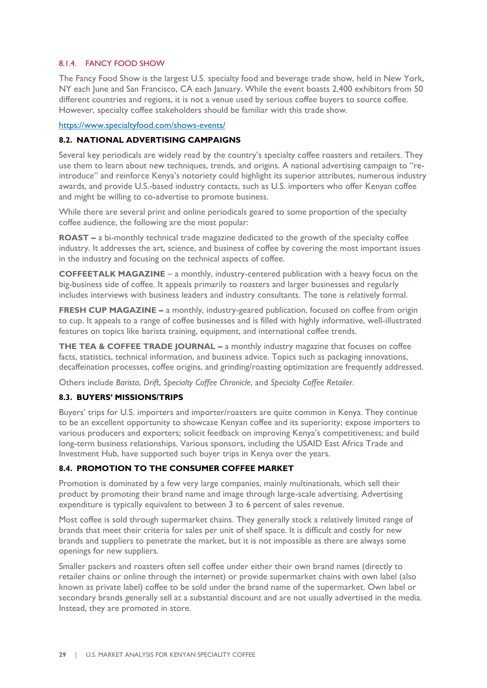### <span id="page-28-0"></span>8.1.4. FANCY FOOD SHOW

The Fancy Food Show is the largest U.S. specialty food and beverage trade show, held in New York, NY each June and San Francisco, CA each January. While the event boasts 2,400 exhibitors from 50 different countries and regions, it is not a venue used by serious coffee buyers to source coffee. However, specialty coffee stakeholders should be familiar with this trade show.

<https://www.specialtyfood.com/shows-events/>

### <span id="page-28-1"></span>**8.2. NATIONAL ADVERTISING CAMPAIGNS**

Several key periodicals are widely read by the country's specialty coffee roasters and retailers. They use them to learn about new techniques, trends, and origins. A national advertising campaign to "reintroduce" and reinforce Kenya's notoriety could highlight its superior attributes, numerous industry awards, and provide U.S.-based industry contacts, such as U.S. importers who offer Kenyan coffee and might be willing to co-advertise to promote business.

While there are several print and online periodicals geared to some proportion of the specialty coffee audience, the following are the most popular:

**ROAST** *–* a bi-monthly technical trade magazine dedicated to the growth of the specialty coffee industry. It addresses the art, science, and business of coffee by covering the most important issues in the industry and focusing on the technical aspects of coffee.

**COFFEETALK MAGAZINE** – a monthly, industry-centered publication with a heavy focus on the big-business side of coffee. It appeals primarily to roasters and larger businesses and regularly includes interviews with business leaders and industry consultants. The tone is relatively formal.

**FRESH CUP MAGAZINE** – a monthly, industry-geared publication, focused on coffee from origin to cup. It appeals to a range of coffee businesses and is filled with highly informative, well-illustrated features on topics like barista training, equipment, and international coffee trends.

**THE TEA & COFFEE TRADE JOURNAL** *–* a monthly industry magazine that focuses on coffee facts, statistics, technical information, and business advice. Topics such as packaging innovations, decaffeination processes, coffee origins, and grinding/roasting optimization are frequently addressed.

Others include *Barista*, *Drift*, *Specialty Coffee Chronicle*, and *Specialty Coffee Retailer*.

### <span id="page-28-2"></span>**8.3. BUYERS' MISSIONS/TRIPS**

Buyers' trips for U.S. importers and importer/roasters are quite common in Kenya. They continue to be an excellent opportunity to showcase Kenyan coffee and its superiority; expose importers to various producers and exporters; solicit feedback on improving Kenya's competitiveness; and build long-term business relationships. Various sponsors, including the USAID East Africa Trade and Investment Hub, have supported such buyer trips in Kenya over the years.

### <span id="page-28-3"></span>**8.4. PROMOTION TO THE CONSUMER COFFEE MARKET**

Promotion is dominated by a few very large companies, mainly multinationals, which sell their product by promoting their brand name and image through large-scale advertising. Advertising expenditure is typically equivalent to between 3 to 6 percent of sales revenue.

Most coffee is sold through supermarket chains. They generally stock a relatively limited range of brands that meet their criteria for sales per unit of shelf space. It is difficult and costly for new brands and suppliers to penetrate the market, but it is not impossible as there are always some openings for new suppliers.

Smaller packers and roasters often sell coffee under either their own brand names (directly to retailer chains or online through the internet) or provide supermarket chains with own label (also known as private label) coffee to be sold under the brand name of the supermarket. Own label or secondary brands generally sell at a substantial discount and are not usually advertised in the media. Instead, they are promoted in store.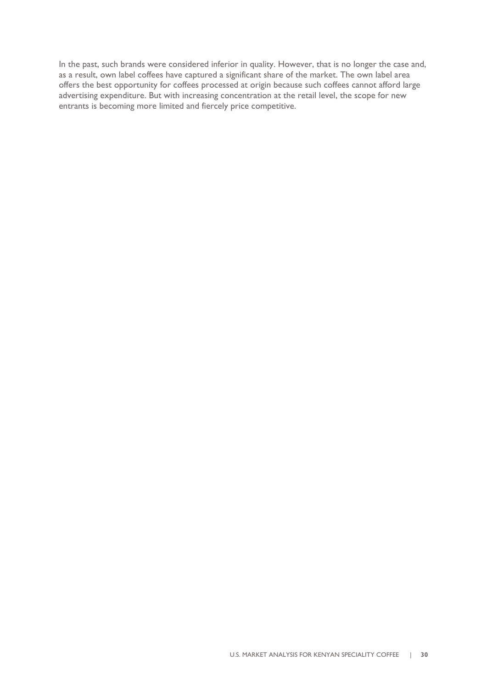In the past, such brands were considered inferior in quality. However, that is no longer the case and, as a result, own label coffees have captured a significant share of the market. The own label area offers the best opportunity for coffees processed at origin because such coffees cannot afford large advertising expenditure. But with increasing concentration at the retail level, the scope for new entrants is becoming more limited and fiercely price competitive.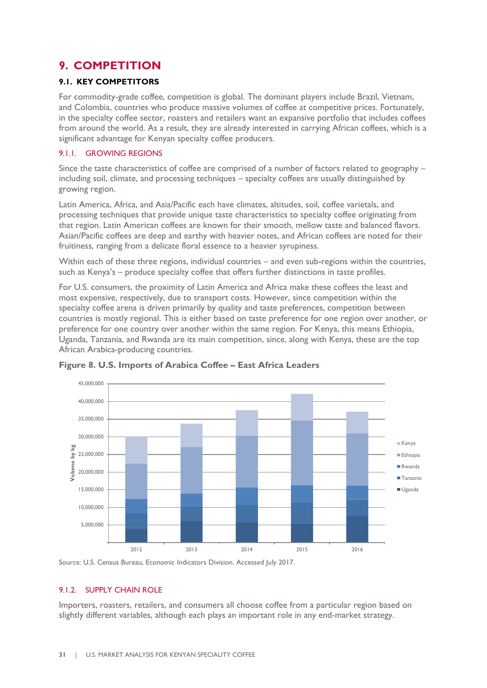### <span id="page-30-0"></span>**9. COMPETITION**

### <span id="page-30-1"></span>**9.1. KEY COMPETITORS**

For commodity-grade coffee, competition is global. The dominant players include Brazil, Vietnam, and Colombia, countries who produce massive volumes of coffee at competitive prices. Fortunately, in the specialty coffee sector, roasters and retailers want an expansive portfolio that includes coffees from around the world. As a result, they are already interested in carrying African coffees, which is a significant advantage for Kenyan specialty coffee producers.

### <span id="page-30-2"></span>9.1.1. GROWING REGIONS

Since the taste characteristics of coffee are comprised of a number of factors related to geography – including soil, climate, and processing techniques – specialty coffees are usually distinguished by growing region.

Latin America, Africa, and Asia/Pacific each have climates, altitudes, soil, coffee varietals, and processing techniques that provide unique taste characteristics to specialty coffee originating from that region. Latin American coffees are known for their smooth, mellow taste and balanced flavors. Asian/Pacific coffees are deep and earthy with heavier notes, and African coffees are noted for their fruitiness, ranging from a delicate floral essence to a heavier syrupiness.

Within each of these three regions, individual countries – and even sub-regions within the countries, such as Kenya's – produce specialty coffee that offers further distinctions in taste profiles.

For U.S. consumers, the proximity of Latin America and Africa make these coffees the least and most expensive, respectively, due to transport costs. However, since competition within the specialty coffee arena is driven primarily by quality and taste preferences, competition between countries is mostly regional. This is either based on taste preference for one region over another, or preference for one country over another within the same region. For Kenya, this means Ethiopia, Uganda, Tanzania, and Rwanda are its main competition, since, along with Kenya, these are the top African Arabica-producing countries.



**Figure 8. U.S. Imports of Arabica Coffee – East Africa Leaders**

Source: U.S. Census Bureau, Economic Indicators Division. Accessed July 2017.

### <span id="page-30-3"></span>9.1.2. SUPPLY CHAIN ROLE

Importers, roasters, retailers, and consumers all choose coffee from a particular region based on slightly different variables, although each plays an important role in any end-market strategy.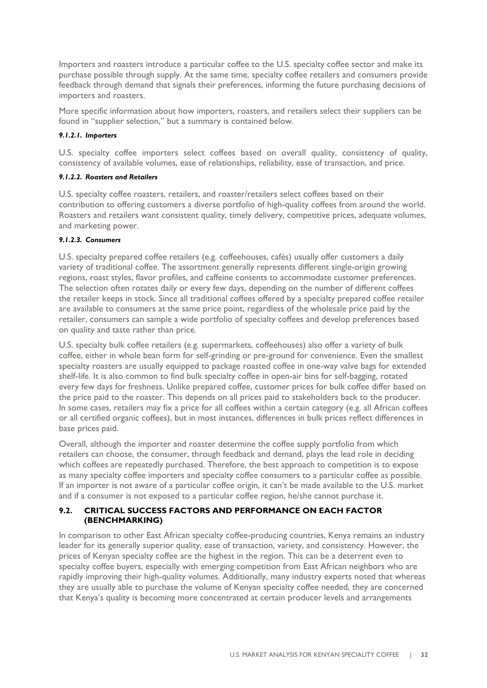Importers and roasters introduce a particular coffee to the U.S. specialty coffee sector and make its purchase possible through supply. At the same time, specialty coffee retailers and consumers provide feedback through demand that signals their preferences, informing the future purchasing decisions of importers and roasters.

More specific information about how importers, roasters, and retailers select their suppliers can be found in "supplier selection," but a summary is contained below.

### *9.1.2.1. Importers*

U.S. specialty coffee importers select coffees based on overall quality, consistency of quality, consistency of available volumes, ease of relationships, reliability, ease of transaction, and price.

### *9.1.2.2. Roasters and Retailers*

U.S. specialty coffee roasters, retailers, and roaster/retailers select coffees based on their contribution to offering customers a diverse portfolio of high-quality coffees from around the world. Roasters and retailers want consistent quality, timely delivery, competitive prices, adequate volumes, and marketing power.

### *9.1.2.3. Consumers*

U.S. specialty prepared coffee retailers (e.g. coffeehouses, cafés) usually offer customers a daily variety of traditional coffee. The assortment generally represents different single-origin growing regions, roast styles, flavor profiles, and caffeine contents to accommodate customer preferences. The selection often rotates daily or every few days, depending on the number of different coffees the retailer keeps in stock. Since all traditional coffees offered by a specialty prepared coffee retailer are available to consumers at the same price point, regardless of the wholesale price paid by the retailer, consumers can sample a wide portfolio of specialty coffees and develop preferences based on quality and taste rather than price.

U.S. specialty bulk coffee retailers (e.g. supermarkets, coffeehouses) also offer a variety of bulk coffee, either in whole bean form for self-grinding or pre-ground for convenience. Even the smallest specialty roasters are usually equipped to package roasted coffee in one-way valve bags for extended shelf-life. It is also common to find bulk specialty coffee in open-air bins for self-bagging, rotated every few days for freshness. Unlike prepared coffee, customer prices for bulk coffee differ based on the price paid to the roaster. This depends on all prices paid to stakeholders back to the producer. In some cases, retailers may fix a price for all coffees within a certain category (e.g. all African coffees or all certified organic coffees), but in most instances, differences in bulk prices reflect differences in base prices paid.

Overall, although the importer and roaster determine the coffee supply portfolio from which retailers can choose, the consumer, through feedback and demand, plays the lead role in deciding which coffees are repeatedly purchased. Therefore, the best approach to competition is to expose as many specialty coffee importers and specialty coffee consumers to a particular coffee as possible. If an importer is not aware of a particular coffee origin, it can't be made available to the U.S. market and if a consumer is not exposed to a particular coffee region, he/she cannot purchase it.

### <span id="page-31-0"></span>**9.2. CRITICAL SUCCESS FACTORS AND PERFORMANCE ON EACH FACTOR (BENCHMARKING)**

In comparison to other East African specialty coffee-producing countries, Kenya remains an industry leader for its generally superior quality, ease of transaction, variety, and consistency. However, the prices of Kenyan specialty coffee are the highest in the region. This can be a deterrent even to specialty coffee buyers, especially with emerging competition from East African neighbors who are rapidly improving their high-quality volumes. Additionally, many industry experts noted that whereas they are usually able to purchase the volume of Kenyan specialty coffee needed, they are concerned that Kenya's quality is becoming more concentrated at certain producer levels and arrangements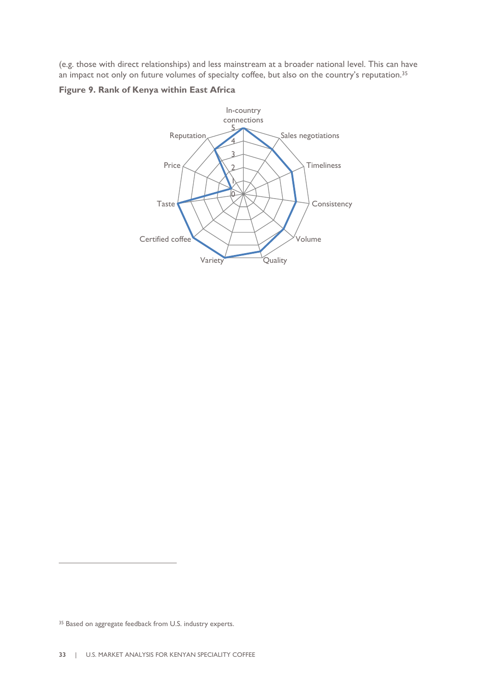(e.g. those with direct relationships) and less mainstream at a broader national level. This can have an impact not only on future volumes of specialty coffee, but also on the country's reputation.<sup>35</sup>

### **Figure 9. Rank of Kenya within East Africa**



<sup>&</sup>lt;sup>35</sup> Based on aggregate feedback from U.S. industry experts.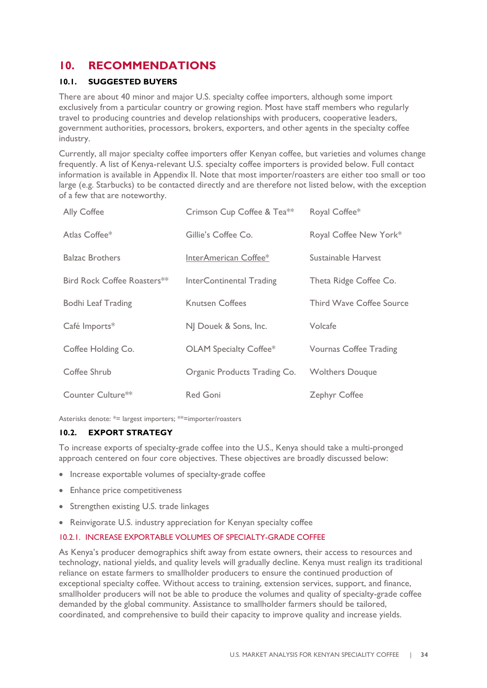### <span id="page-33-0"></span>**10. RECOMMENDATIONS**

### <span id="page-33-1"></span>**10.1. SUGGESTED BUYERS**

There are about 40 minor and major U.S. specialty coffee importers, although some import exclusively from a particular country or growing region. Most have staff members who regularly travel to producing countries and develop relationships with producers, cooperative leaders, government authorities, processors, brokers, exporters, and other agents in the specialty coffee industry.

Currently, all major specialty coffee importers offer Kenyan coffee, but varieties and volumes change frequently. A list of Kenya-relevant U.S. specialty coffee importers is provided below. Full contact information is available in Appendix II. Note that most importer/roasters are either too small or too large (e.g. Starbucks) to be contacted directly and are therefore not listed below, with the exception of a few that are noteworthy.

| Ally Coffee                 | Crimson Cup Coffee & Tea <sup>**</sup> | Royal Coffee*                   |
|-----------------------------|----------------------------------------|---------------------------------|
| Atlas Coffee*               | Gillie's Coffee Co.                    | Royal Coffee New York*          |
| <b>Balzac Brothers</b>      | InterAmerican Coffee*                  | Sustainable Harvest             |
| Bird Rock Coffee Roasters** | InterContinental Trading               | Theta Ridge Coffee Co.          |
| Bodhi Leaf Trading          | <b>Knutsen Coffees</b>                 | <b>Third Wave Coffee Source</b> |
| Café Imports*               | NJ Douek & Sons, Inc.                  | Volcafe                         |
| Coffee Holding Co.          | OLAM Specialty Coffee*                 | <b>Vournas Coffee Trading</b>   |
| Coffee Shrub                | Organic Products Trading Co.           | <b>Wolthers Douque</b>          |
| Counter Culture**           | <b>Red Goni</b>                        | Zephyr Coffee                   |

Asterisks denote: \*= largest importers; \*\*=importer/roasters

### <span id="page-33-2"></span>**10.2. EXPORT STRATEGY**

To increase exports of specialty-grade coffee into the U.S., Kenya should take a multi-pronged approach centered on four core objectives. These objectives are broadly discussed below:

- Increase exportable volumes of specialty-grade coffee
- Enhance price competitiveness
- Strengthen existing U.S. trade linkages
- Reinvigorate U.S. industry appreciation for Kenyan specialty coffee

### <span id="page-33-3"></span>10.2.1. INCREASE EXPORTABLE VOLUMES OF SPECIALTY-GRADE COFFEE

As Kenya's producer demographics shift away from estate owners, their access to resources and technology, national yields, and quality levels will gradually decline. Kenya must realign its traditional reliance on estate farmers to smallholder producers to ensure the continued production of exceptional specialty coffee. Without access to training, extension services, support, and finance, smallholder producers will not be able to produce the volumes and quality of specialty-grade coffee demanded by the global community. Assistance to smallholder farmers should be tailored, coordinated, and comprehensive to build their capacity to improve quality and increase yields.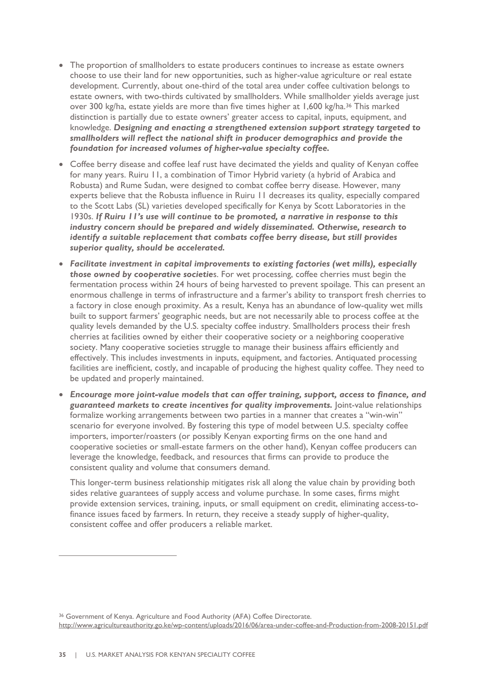- The proportion of smallholders to estate producers continues to increase as estate owners choose to use their land for new opportunities, such as higher-value agriculture or real estate development. Currently, about one-third of the total area under coffee cultivation belongs to estate owners, with two-thirds cultivated by smallholders. While smallholder yields average just over 300 kg/ha, estate yields are more than five times higher at 1,600 kg/ha.<sup>36</sup> This marked distinction is partially due to estate owners' greater access to capital, inputs, equipment, and knowledge. *Designing and enacting a strengthened extension support strategy targeted to smallholders will reflect the national shift in producer demographics and provide the foundation for increased volumes of higher-value specialty coffee.*
- Coffee berry disease and coffee leaf rust have decimated the yields and quality of Kenyan coffee for many years. Ruiru 11, a combination of Timor Hybrid variety (a hybrid of Arabica and Robusta) and Rume Sudan, were designed to combat coffee berry disease. However, many experts believe that the Robusta influence in Ruiru 11 decreases its quality, especially compared to the Scott Labs (SL) varieties developed specifically for Kenya by Scott Laboratories in the 1930s. *If Ruiru 11's use will continue to be promoted, a narrative in response to this industry concern should be prepared and widely disseminated. Otherwise, research to identify a suitable replacement that combats coffee berry disease, but still provides superior quality, should be accelerated.*
- *Facilitate investment in capital improvements to existing factories (wet mills), especially those owned by cooperative societie*s. For wet processing, coffee cherries must begin the fermentation process within 24 hours of being harvested to prevent spoilage. This can present an enormous challenge in terms of infrastructure and a farmer's ability to transport fresh cherries to a factory in close enough proximity. As a result, Kenya has an abundance of low-quality wet mills built to support farmers' geographic needs, but are not necessarily able to process coffee at the quality levels demanded by the U.S. specialty coffee industry. Smallholders process their fresh cherries at facilities owned by either their cooperative society or a neighboring cooperative society. Many cooperative societies struggle to manage their business affairs efficiently and effectively. This includes investments in inputs, equipment, and factories. Antiquated processing facilities are inefficient, costly, and incapable of producing the highest quality coffee. They need to be updated and properly maintained.
- *Encourage more joint-value models that can offer training, support, access to finance, and guaranteed markets to create incentives for quality improvements.* Joint-value relationships formalize working arrangements between two parties in a manner that creates a "win-win" scenario for everyone involved. By fostering this type of model between U.S. specialty coffee importers, importer/roasters (or possibly Kenyan exporting firms on the one hand and cooperative societies or small-estate farmers on the other hand), Kenyan coffee producers can leverage the knowledge, feedback, and resources that firms can provide to produce the consistent quality and volume that consumers demand.

This longer-term business relationship mitigates risk all along the value chain by providing both sides relative guarantees of supply access and volume purchase. In some cases, firms might provide extension services, training, inputs, or small equipment on credit, eliminating access-tofinance issues faced by farmers. In return, they receive a steady supply of higher-quality, consistent coffee and offer producers a reliable market.

<sup>&</sup>lt;sup>36</sup> Government of Kenya. Agriculture and Food Authority (AFA) Coffee Directorate. <http://www.agricultureauthority.go.ke/wp-content/uploads/2016/06/area-under-coffee-and-Production-from-2008-20151.pdf>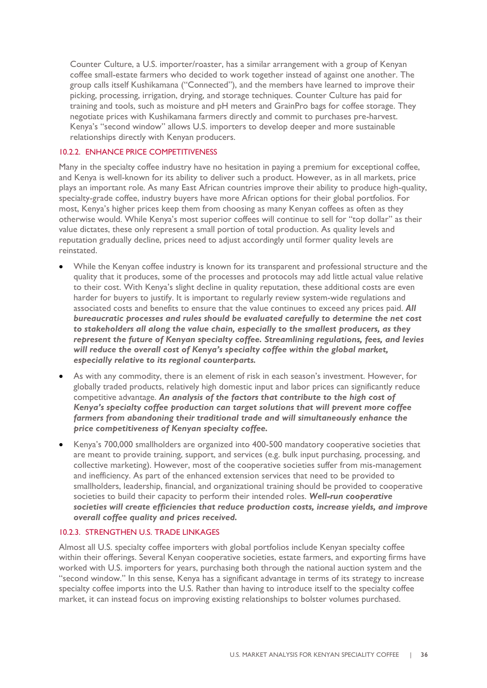Counter Culture, a U.S. importer/roaster, has a similar arrangement with a group of Kenyan coffee small-estate farmers who decided to work together instead of against one another. The group calls itself Kushikamana ("Connected"), and the members have learned to improve their picking, processing, irrigation, drying, and storage techniques. Counter Culture has paid for training and tools, such as moisture and pH meters and GrainPro bags for coffee storage. They negotiate prices with Kushikamana farmers directly and commit to purchases pre-harvest. Kenya's "second window" allows U.S. importers to develop deeper and more sustainable relationships directly with Kenyan producers.

### <span id="page-35-0"></span>10.2.2. ENHANCE PRICE COMPETITIVENESS

Many in the specialty coffee industry have no hesitation in paying a premium for exceptional coffee, and Kenya is well-known for its ability to deliver such a product. However, as in all markets, price plays an important role. As many East African countries improve their ability to produce high-quality, specialty-grade coffee, industry buyers have more African options for their global portfolios. For most, Kenya's higher prices keep them from choosing as many Kenyan coffees as often as they otherwise would. While Kenya's most superior coffees will continue to sell for "top dollar" as their value dictates, these only represent a small portion of total production. As quality levels and reputation gradually decline, prices need to adjust accordingly until former quality levels are reinstated.

- While the Kenyan coffee industry is known for its transparent and professional structure and the quality that it produces, some of the processes and protocols may add little actual value relative to their cost. With Kenya's slight decline in quality reputation, these additional costs are even harder for buyers to justify. It is important to regularly review system-wide regulations and associated costs and benefits to ensure that the value continues to exceed any prices paid. *All bureaucratic processes and rules should be evaluated carefully to determine the net cost to stakeholders all along the value chain, especially to the smallest producers, as they represent the future of Kenyan specialty coffee. Streamlining regulations, fees, and levies will reduce the overall cost of Kenya's specialty coffee within the global market, especially relative to its regional counterparts.*
- As with any commodity, there is an element of risk in each season's investment. However, for globally traded products, relatively high domestic input and labor prices can significantly reduce competitive advantage. *An analysis of the factors that contribute to the high cost of Kenya's specialty coffee production can target solutions that will prevent more coffee farmers from abandoning their traditional trade and will simultaneously enhance the price competitiveness of Kenyan specialty coffee.*
- Kenya's 700,000 smallholders are organized into 400-500 mandatory cooperative societies that are meant to provide training, support, and services (e.g. bulk input purchasing, processing, and collective marketing). However, most of the cooperative societies suffer from mis-management and inefficiency. As part of the enhanced extension services that need to be provided to smallholders, leadership, financial, and organizational training should be provided to cooperative societies to build their capacity to perform their intended roles. *Well-run cooperative societies will create efficiencies that reduce production costs, increase yields, and improve overall coffee quality and prices received.*

### <span id="page-35-1"></span>10.2.3. STRENGTHEN U.S. TRADE LINKAGES

Almost all U.S. specialty coffee importers with global portfolios include Kenyan specialty coffee within their offerings. Several Kenyan cooperative societies, estate farmers, and exporting firms have worked with U.S. importers for years, purchasing both through the national auction system and the "second window." In this sense, Kenya has a significant advantage in terms of its strategy to increase specialty coffee imports into the U.S. Rather than having to introduce itself to the specialty coffee market, it can instead focus on improving existing relationships to bolster volumes purchased.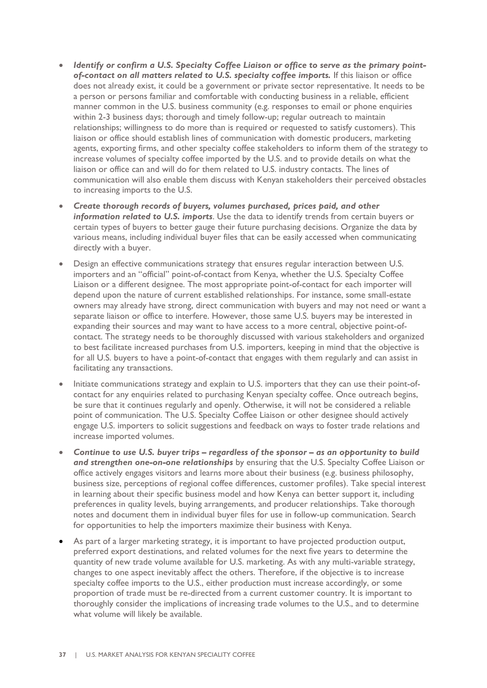- *Identify or confirm a U.S. Specialty Coffee Liaison or office to serve as the primary point*of-contact on all matters related to U.S. specialty coffee imports. If this liaison or office does not already exist, it could be a government or private sector representative. It needs to be a person or persons familiar and comfortable with conducting business in a reliable, efficient manner common in the U.S. business community (e.g. responses to email or phone enquiries within 2-3 business days; thorough and timely follow-up; regular outreach to maintain relationships; willingness to do more than is required or requested to satisfy customers). This liaison or office should establish lines of communication with domestic producers, marketing agents, exporting firms, and other specialty coffee stakeholders to inform them of the strategy to increase volumes of specialty coffee imported by the U.S. and to provide details on what the liaison or office can and will do for them related to U.S. industry contacts. The lines of communication will also enable them discuss with Kenyan stakeholders their perceived obstacles to increasing imports to the U.S.
- *Create thorough records of buyers, volumes purchased, prices paid, and other information related to U.S. imports*. Use the data to identify trends from certain buyers or certain types of buyers to better gauge their future purchasing decisions. Organize the data by various means, including individual buyer files that can be easily accessed when communicating directly with a buyer.
- Design an effective communications strategy that ensures regular interaction between U.S. importers and an "official" point-of-contact from Kenya, whether the U.S. Specialty Coffee Liaison or a different designee. The most appropriate point-of-contact for each importer will depend upon the nature of current established relationships. For instance, some small-estate owners may already have strong, direct communication with buyers and may not need or want a separate liaison or office to interfere. However, those same U.S. buyers may be interested in expanding their sources and may want to have access to a more central, objective point-ofcontact. The strategy needs to be thoroughly discussed with various stakeholders and organized to best facilitate increased purchases from U.S. importers, keeping in mind that the objective is for all U.S. buyers to have a point-of-contact that engages with them regularly and can assist in facilitating any transactions.
- Initiate communications strategy and explain to U.S. importers that they can use their point-ofcontact for any enquiries related to purchasing Kenyan specialty coffee. Once outreach begins, be sure that it continues regularly and openly. Otherwise, it will not be considered a reliable point of communication. The U.S. Specialty Coffee Liaison or other designee should actively engage U.S. importers to solicit suggestions and feedback on ways to foster trade relations and increase imported volumes.
- *Continue to use U.S. buyer trips – regardless of the sponsor – as an opportunity to build and strengthen one-on-one relationships* by ensuring that the U.S. Specialty Coffee Liaison or office actively engages visitors and learns more about their business (e.g. business philosophy, business size, perceptions of regional coffee differences, customer profiles). Take special interest in learning about their specific business model and how Kenya can better support it, including preferences in quality levels, buying arrangements, and producer relationships. Take thorough notes and document them in individual buyer files for use in follow-up communication. Search for opportunities to help the importers maximize their business with Kenya.
- As part of a larger marketing strategy, it is important to have projected production output, preferred export destinations, and related volumes for the next five years to determine the quantity of new trade volume available for U.S. marketing. As with any multi-variable strategy, changes to one aspect inevitably affect the others. Therefore, if the objective is to increase specialty coffee imports to the U.S., either production must increase accordingly, or some proportion of trade must be re-directed from a current customer country. It is important to thoroughly consider the implications of increasing trade volumes to the U.S., and to determine what volume will likely be available.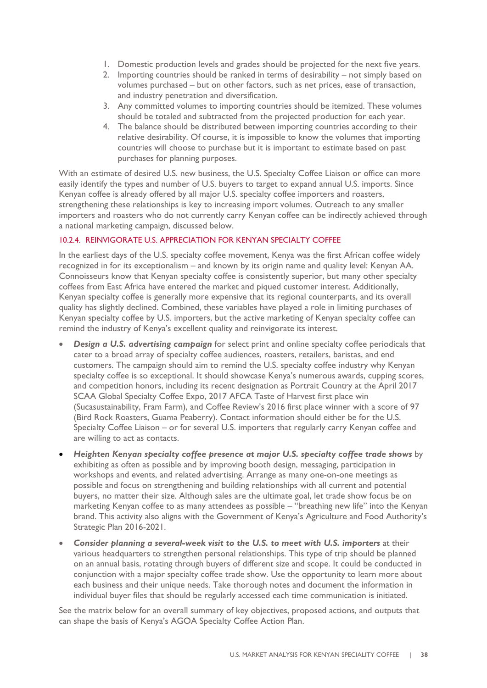- 1. Domestic production levels and grades should be projected for the next five years.
- 2. Importing countries should be ranked in terms of desirability not simply based on volumes purchased – but on other factors, such as net prices, ease of transaction, and industry penetration and diversification.
- 3. Any committed volumes to importing countries should be itemized. These volumes should be totaled and subtracted from the projected production for each year.
- 4. The balance should be distributed between importing countries according to their relative desirability. Of course, it is impossible to know the volumes that importing countries will choose to purchase but it is important to estimate based on past purchases for planning purposes.

With an estimate of desired U.S. new business, the U.S. Specialty Coffee Liaison or office can more easily identify the types and number of U.S. buyers to target to expand annual U.S. imports. Since Kenyan coffee is already offered by all major U.S. specialty coffee importers and roasters, strengthening these relationships is key to increasing import volumes. Outreach to any smaller importers and roasters who do not currently carry Kenyan coffee can be indirectly achieved through a national marketing campaign, discussed below.

### <span id="page-37-0"></span>10.2.4. REINVIGORATE U.S. APPRECIATION FOR KENYAN SPECIALTY COFFEE

In the earliest days of the U.S. specialty coffee movement, Kenya was the first African coffee widely recognized in for its exceptionalism – and known by its origin name and quality level: Kenyan AA. Connoisseurs know that Kenyan specialty coffee is consistently superior, but many other specialty coffees from East Africa have entered the market and piqued customer interest. Additionally, Kenyan specialty coffee is generally more expensive that its regional counterparts, and its overall quality has slightly declined. Combined, these variables have played a role in limiting purchases of Kenyan specialty coffee by U.S. importers, but the active marketing of Kenyan specialty coffee can remind the industry of Kenya's excellent quality and reinvigorate its interest.

- *Design a U.S. advertising campaign* for select print and online specialty coffee periodicals that cater to a broad array of specialty coffee audiences, roasters, retailers, baristas, and end customers. The campaign should aim to remind the U.S. specialty coffee industry why Kenyan specialty coffee is so exceptional. It should showcase Kenya's numerous awards, cupping scores, and competition honors, including its recent designation as Portrait Country at the April 2017 SCAA Global Specialty Coffee Expo, 2017 AFCA Taste of Harvest first place win (Sucasustainability, Fram Farm), and Coffee Review's 2016 first place winner with a score of 97 (Bird Rock Roasters, Guama Peaberry). Contact information should either be for the U.S. Specialty Coffee Liaison – or for several U.S. importers that regularly carry Kenyan coffee and are willing to act as contacts.
- *Heighten Kenyan specialty coffee presence at major U.S. specialty coffee trade shows* by exhibiting as often as possible and by improving booth design, messaging, participation in workshops and events, and related advertising. Arrange as many one-on-one meetings as possible and focus on strengthening and building relationships with all current and potential buyers, no matter their size. Although sales are the ultimate goal, let trade show focus be on marketing Kenyan coffee to as many attendees as possible – "breathing new life" into the Kenyan brand. This activity also aligns with the Government of Kenya's Agriculture and Food Authority's Strategic Plan 2016-2021.
- *Consider planning a several-week visit to the U.S. to meet with U.S. importers* at their various headquarters to strengthen personal relationships. This type of trip should be planned on an annual basis, rotating through buyers of different size and scope. It could be conducted in conjunction with a major specialty coffee trade show. Use the opportunity to learn more about each business and their unique needs. Take thorough notes and document the information in individual buyer files that should be regularly accessed each time communication is initiated.

See the matrix below for an overall summary of key objectives, proposed actions, and outputs that can shape the basis of Kenya's AGOA Specialty Coffee Action Plan.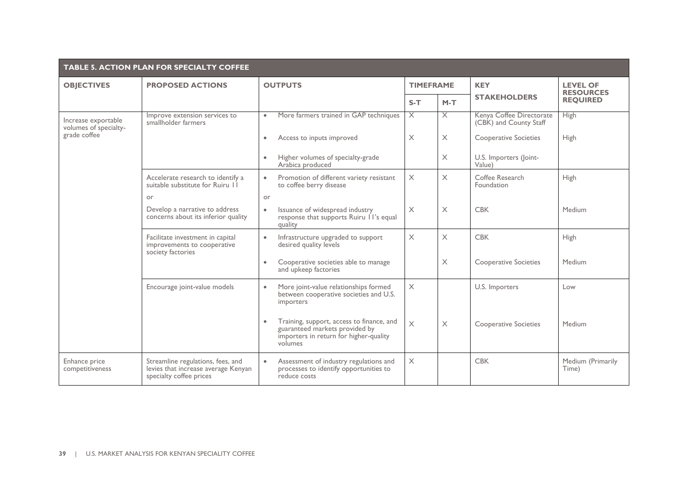|                                              | <b>TABLE 5. ACTION PLAN FOR SPECIALTY COFFEE</b>                                                    |                                                                                                                                  |                  |                         |                                                    |                                     |  |  |
|----------------------------------------------|-----------------------------------------------------------------------------------------------------|----------------------------------------------------------------------------------------------------------------------------------|------------------|-------------------------|----------------------------------------------------|-------------------------------------|--|--|
| <b>OBJECTIVES</b>                            | <b>PROPOSED ACTIONS</b>                                                                             | <b>OUTPUTS</b>                                                                                                                   | <b>TIMEFRAME</b> |                         | <b>KEY</b>                                         | <b>LEVEL OF</b><br><b>RESOURCES</b> |  |  |
|                                              |                                                                                                     |                                                                                                                                  | $S-T$            | $M-T$                   | <b>STAKEHOLDERS</b>                                | <b>REQUIRED</b>                     |  |  |
| Increase exportable<br>volumes of specialty- | Improve extension services to<br>smallholder farmers                                                | More farmers trained in GAP techniques<br>$\bullet$                                                                              | $\times$         | $\overline{\mathsf{X}}$ | Kenya Coffee Directorate<br>(CBK) and County Staff | <b>High</b>                         |  |  |
| grade coffee                                 |                                                                                                     | Access to inputs improved<br>$\bullet$                                                                                           | $\times$         | $\times$                | <b>Cooperative Societies</b>                       | High                                |  |  |
|                                              |                                                                                                     | Higher volumes of specialty-grade<br>Arabica produced                                                                            |                  | $\times$                | U.S. Importers (Joint-<br>Value)                   |                                     |  |  |
|                                              | Accelerate research to identify a<br>suitable substitute for Ruiru II                               | Promotion of different variety resistant<br>$\bullet$<br>to coffee berry disease                                                 | $\times$         | $\times$                | Coffee Research<br>Foundation                      | <b>High</b>                         |  |  |
|                                              | or                                                                                                  | or                                                                                                                               |                  |                         |                                                    |                                     |  |  |
|                                              | Develop a narrative to address<br>concerns about its inferior quality                               | Issuance of widespread industry<br>$\bullet$<br>response that supports Ruiru 11's equal<br>quality                               | X                | $\times$                | <b>CBK</b>                                         | Medium                              |  |  |
|                                              | Facilitate investment in capital<br>improvements to cooperative<br>society factories                | Infrastructure upgraded to support<br>$\bullet$<br>desired quality levels                                                        | $\times$         | $\times$                | <b>CBK</b>                                         | High                                |  |  |
|                                              |                                                                                                     | Cooperative societies able to manage<br>$\bullet$<br>and upkeep factories                                                        |                  | $\times$                | <b>Cooperative Societies</b>                       | Medium                              |  |  |
|                                              | Encourage joint-value models                                                                        | More joint-value relationships formed<br>$\bullet$<br>between cooperative societies and U.S.<br>importers                        | $\times$         |                         | U.S. Importers                                     | Low                                 |  |  |
|                                              |                                                                                                     | Training, support, access to finance, and<br>guaranteed markets provided by<br>importers in return for higher-quality<br>volumes | $\times$         | $\times$                | Cooperative Societies                              | Medium                              |  |  |
| Enhance price<br>competitiveness             | Streamline regulations, fees, and<br>levies that increase average Kenyan<br>specialty coffee prices | Assessment of industry regulations and<br>$\bullet$<br>processes to identify opportunities to<br>reduce costs                    | $\times$         |                         | <b>CBK</b>                                         | Medium (Primarily<br>Time)          |  |  |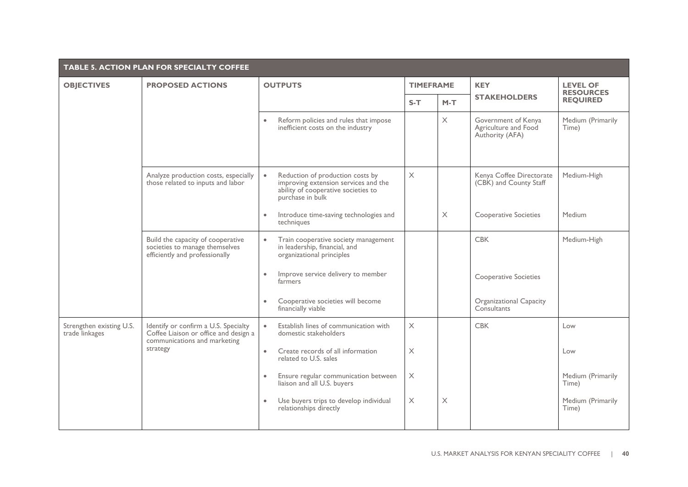|                                            | <b>TABLE 5. ACTION PLAN FOR SPECIALTY COFFEE</b>                                                              |                                                                                                                                                  |                       |          |                                                                |                                     |  |
|--------------------------------------------|---------------------------------------------------------------------------------------------------------------|--------------------------------------------------------------------------------------------------------------------------------------------------|-----------------------|----------|----------------------------------------------------------------|-------------------------------------|--|
| <b>OBJECTIVES</b>                          | <b>PROPOSED ACTIONS</b>                                                                                       | <b>OUTPUTS</b>                                                                                                                                   | <b>TIMEFRAME</b>      |          | <b>KEY</b>                                                     | <b>LEVEL OF</b><br><b>RESOURCES</b> |  |
|                                            |                                                                                                               |                                                                                                                                                  | $S-T$                 | $M-T$    | <b>STAKEHOLDERS</b>                                            | <b>REQUIRED</b>                     |  |
|                                            |                                                                                                               | Reform policies and rules that impose<br>$\bullet$<br>inefficient costs on the industry                                                          |                       | $\times$ | Government of Kenya<br>Agriculture and Food<br>Authority (AFA) | Medium (Primarily<br>Time)          |  |
|                                            | Analyze production costs, especially<br>those related to inputs and labor                                     | Reduction of production costs by<br>$\bullet$<br>improving extension services and the<br>ability of cooperative societies to<br>purchase in bulk | $\times$              |          | Kenya Coffee Directorate<br>(CBK) and County Staff             | Medium-High                         |  |
|                                            |                                                                                                               | Introduce time-saving technologies and<br>techniques                                                                                             |                       | $\times$ | <b>Cooperative Societies</b>                                   | Medium                              |  |
|                                            | Build the capacity of cooperative<br>societies to manage themselves<br>efficiently and professionally         | Train cooperative society management<br>$\bullet$<br>in leadership, financial, and<br>organizational principles                                  |                       |          | <b>CBK</b>                                                     | Medium-High                         |  |
|                                            |                                                                                                               | Improve service delivery to member<br>$\bullet$<br>farmers                                                                                       |                       |          | <b>Cooperative Societies</b>                                   |                                     |  |
|                                            |                                                                                                               | Cooperative societies will become<br>financially viable                                                                                          |                       |          | Organizational Capacity<br>Consultants                         |                                     |  |
| Strengthen existing U.S.<br>trade linkages | Identify or confirm a U.S. Specialty<br>Coffee Liaison or office and design a<br>communications and marketing | Establish lines of communication with<br>$\bullet$<br>domestic stakeholders                                                                      | $\times$              |          | <b>CBK</b>                                                     | Low                                 |  |
|                                            | strategy                                                                                                      | Create records of all information<br>$\bullet$<br>related to U.S. sales                                                                          | $\times$              |          |                                                                | Low                                 |  |
|                                            |                                                                                                               | Ensure regular communication between<br>liaison and all U.S. buyers                                                                              | $\boldsymbol{\times}$ |          |                                                                | Medium (Primarily<br>Time)          |  |
|                                            |                                                                                                               | Use buyers trips to develop individual<br>relationships directly                                                                                 | X                     | $\times$ |                                                                | Medium (Primarily<br>Time)          |  |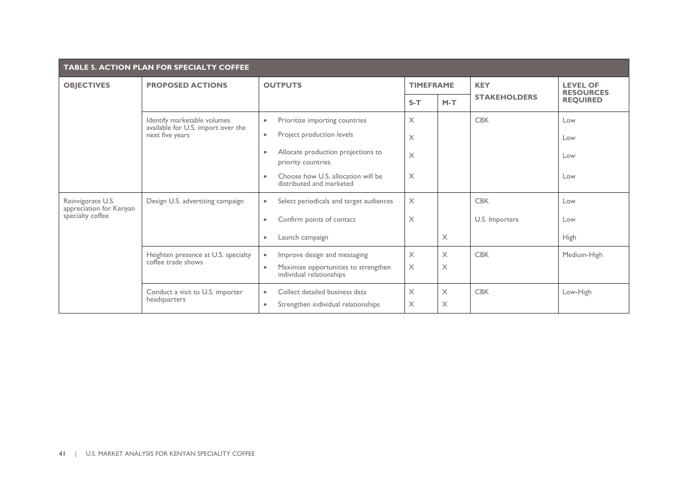| TABLE 5. ACTION PLAN FOR SPECIALTY COFFEE    |                                                                   |                                                                       |                  |          |                     |                                     |  |
|----------------------------------------------|-------------------------------------------------------------------|-----------------------------------------------------------------------|------------------|----------|---------------------|-------------------------------------|--|
| <b>OBJECTIVES</b>                            | <b>PROPOSED ACTIONS</b>                                           | <b>OUTPUTS</b>                                                        | <b>TIMEFRAME</b> |          | <b>KEY</b>          | <b>LEVEL OF</b><br><b>RESOURCES</b> |  |
|                                              |                                                                   |                                                                       | $S-T$            | $M-T$    | <b>STAKEHOLDERS</b> | <b>REQUIRED</b>                     |  |
|                                              | Identify marketable volumes<br>available for U.S. import over the | Prioritize importing countries<br>$\bullet$                           | $\times$         |          | <b>CBK</b>          | Low                                 |  |
|                                              | next five years                                                   | Project production levels<br>$\bullet$                                | X                |          |                     | Low                                 |  |
|                                              |                                                                   | Allocate production projections to<br>priority countries              | $\times$         |          |                     | Low                                 |  |
|                                              |                                                                   | Choose how U.S. allocation will be<br>distributed and marketed        | X                |          |                     | Low                                 |  |
| Reinvigorate U.S.<br>appreciation for Kenyan | Design U.S. advertising campaign                                  | Select periodicals and target audiences<br>$\bullet$                  | $\times$         |          | <b>CBK</b>          | Low                                 |  |
| specialty coffee                             |                                                                   | Confirm points of contact<br>۰                                        | X                |          | U.S. Importers      | Low                                 |  |
|                                              |                                                                   | Launch campaign<br>$\bullet$                                          |                  | $\times$ |                     | <b>High</b>                         |  |
|                                              | Heighten presence at U.S. specialty<br>coffee trade shows         | Improve design and messaging<br>$\bullet$                             | X                | $\times$ | <b>CBK</b>          | Medium-High                         |  |
|                                              |                                                                   | Maximize opportunities to strengthen<br>۰<br>individual relationships | $\times$         | $\times$ |                     |                                     |  |
|                                              | Conduct a visit to U.S. importer                                  | Collect detailed business data<br>$\bullet$                           | X                | $\times$ | <b>CBK</b>          | Low-High                            |  |
|                                              | headquarters                                                      | Strengthen individual relationships<br>$\bullet$                      | Χ                | $\times$ |                     |                                     |  |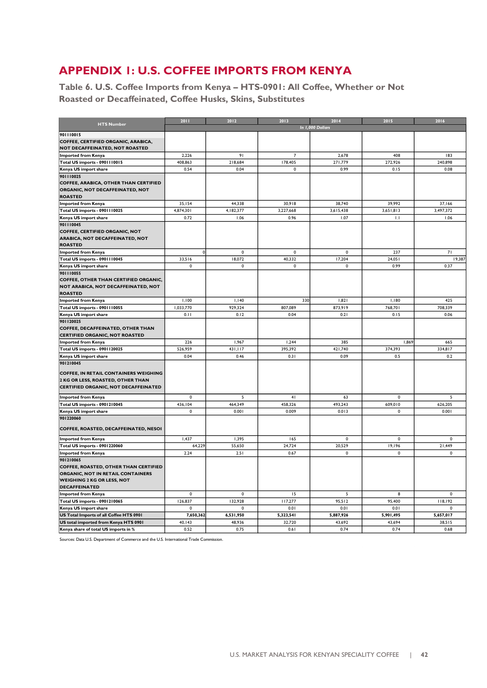### <span id="page-41-0"></span>**APPENDIX 1: U.S. COFFEE IMPORTS FROM KENYA**

**Table 6. U.S. Coffee Imports from Kenya – HTS-0901: All Coffee, Whether or Not Roasted or Decaffeinated, Coffee Husks, Skins, Substitutes**

|                                              | 2011        | 2012        | 2013           | 2014             | 2015      | 2016        |
|----------------------------------------------|-------------|-------------|----------------|------------------|-----------|-------------|
| <b>HTS Number</b>                            |             |             |                | In 1,000 Dollars |           |             |
| 901110015                                    |             |             |                |                  |           |             |
| COFFEE, CERTIFIED ORGANIC, ARABICA,          |             |             |                |                  |           |             |
| NOT DECAFFEINATED, NOT ROASTED               |             |             |                |                  |           |             |
|                                              | 2,226       | 91          | $\overline{7}$ | 2,678            | 408       | 183         |
| <b>Imported from Kenya</b>                   | 408,863     | 218,684     | 178,405        | 271,779          | 272,926   | 240,898     |
| Total US imports - 0901110015                |             |             |                |                  |           |             |
| Kenya US import share                        | 0.54        | 0.04        | 0              | 0.99             | 0.15      | 0.08        |
| 901110025                                    |             |             |                |                  |           |             |
| COFFEE, ARABICA, OTHER THAN CERTIFIED        |             |             |                |                  |           |             |
| ORGANIC, NOT DECAFFEINATED, NOT              |             |             |                |                  |           |             |
| <b>ROASTED</b>                               |             |             |                |                  |           |             |
| <b>Imported from Kenya</b>                   | 35,154      | 44,338      | 30,918         | 38,740           | 39,992    | 37,166      |
| Total US imports - 0901110025                | 4,874,301   | 4, 182, 377 | 3,227,668      | 3,615,438        | 3,651,813 | 3,497,372   |
| Kenya US import share                        | 0.72        | 1.06        | 0.96           | 1.07             | 1.1       | 1.06        |
| 901110045                                    |             |             |                |                  |           |             |
| <b>COFFEE, CERTIFIED ORGANIC, NOT</b>        |             |             |                |                  |           |             |
| ARABICA, NOT DECAFFEINATED, NOT              |             |             |                |                  |           |             |
| <b>ROASTED</b>                               |             |             |                |                  |           |             |
| <b>Imported from Kenya</b>                   | $\mathbf 0$ | $\mathbf 0$ | 0              | $\Omega$         | 237       | 71          |
| Total US imports - 0901110045                | 33,516      | 18,072      | 40,332         | 17,204           | 24,051    | 19,387      |
| Kenya US import share                        | $\pmb{0}$   | $\pmb{0}$   | 0              | $\mathbf{0}$     | 0.99      | 0.37        |
| 901110055                                    |             |             |                |                  |           |             |
| COFFEE, OTHER THAN CERTIFIED ORGANIC,        |             |             |                |                  |           |             |
| NOT ARABICA, NOT DECAFFEINATED, NOT          |             |             |                |                  |           |             |
| <b>ROASTED</b>                               |             |             |                |                  |           |             |
| <b>Imported from Kenya</b>                   | 1,100       | I, I40      | 330            | 1,821            | 1,180     | 425         |
| Total US imports - 0901110055                | 1,033,770   | 929,324     | 807,089        | 873,919          | 768,701   | 708,339     |
| Kenya US import share                        | 0.11        | 0.12        | 0.04           | 0.21             | 0.15      | 0.06        |
| 901120025                                    |             |             |                |                  |           |             |
| COFFEE, DECAFFEINATED, OTHER THAN            |             |             |                |                  |           |             |
| <b>CERTIFIED ORGANIC, NOT ROASTED</b>        |             |             |                |                  |           |             |
| <b>Imported from Kenya</b>                   | 226         | 1,967       | 1,244          | 385              | 1,869     | 665         |
| <b>Total US imports - 0901120025</b>         | 526,959     | 431,117     | 395,392        | 421,740          | 374,393   | 334,817     |
| Kenya US import share                        | 0.04        | 0.46        | 0.31           | 0.09             | 0.5       | 0.2         |
| 901210045                                    |             |             |                |                  |           |             |
|                                              |             |             |                |                  |           |             |
| <b>COFFEE, IN RETAIL CONTAINERS WEIGHING</b> |             |             |                |                  |           |             |
| 2 KG OR LESS, ROASTED, OTHER THAN            |             |             |                |                  |           |             |
| CERTIFIED ORGANIC, NOT DECAFFEINATED         |             |             |                |                  |           |             |
| <b>Imported from Kenya</b>                   | $\pmb{0}$   | 5           | 41             | 63               | 0         | 5           |
| Total US imports - 0901210045                | 436,104     | 464,349     | 458,326        | 493,243          | 609,010   | 626,205     |
| Kenya US import share                        | $\pmb{0}$   | 0.001       | 0.009          | 0.013            | 0         | 0.001       |
| 901220060                                    |             |             |                |                  |           |             |
|                                              |             |             |                |                  |           |             |
| COFFEE, ROASTED, DECAFFEINATED, NESOI        |             |             |                |                  |           |             |
| <b>Imported from Kenya</b>                   | 1,437       | 1,395       | 165            | $\Omega$         | $\Omega$  | $\Omega$    |
| Total US imports - 0901220060                | 64,229      | 55,650      | 24,724         | 20,529           | 19,196    | 21,449      |
| <b>Imported from Kenya</b>                   | 2.24        | 2.51        | 0.67           | $\pmb{0}$        | $\pmb{0}$ | 0           |
| 901210065                                    |             |             |                |                  |           |             |
| COFFEE, ROASTED, OTHER THAN CERTIFIED        |             |             |                |                  |           |             |
| ORGANIC, NOT IN RETAIL CONTAINERS            |             |             |                |                  |           |             |
| <b>WEIGHING 2 KG OR LESS, NOT</b>            |             |             |                |                  |           |             |
| <b>DECAFFEINATED</b>                         |             |             |                |                  |           |             |
| <b>Imported from Kenya</b>                   | $\mathbf 0$ | $\mathbf 0$ | 15             | 5                | 8         | $\mathbf 0$ |
| Total US imports - 0901210065                | 126,837     | 132,928     | 117,277        | 95,512           | 95,400    | 118,192     |
|                                              | $\Omega$    | $\mathbf 0$ | 0.01           | 0.01             | 0.01      | $\pmb{0}$   |
| Kenya US import share                        |             |             |                |                  |           |             |
| US Total Imports of all Coffee HTS 0901      | 7,650,362   | 6,531,950   | 5,323,541      | 5,887,926        | 5,901,495 | 5,657,017   |
| US total imported from Kenya HTS 0901        | 40,143      | 48,936      | 32,720         | 43,692           | 43,694    | 38,515      |
| Kenya share of total US imports in %         | 0.52        | 0.75        | 0.61           | 0.74             | 0.74      | 0.68        |

Sources: Data U.S. Department of Commerce and the U.S. International Trade Commission.